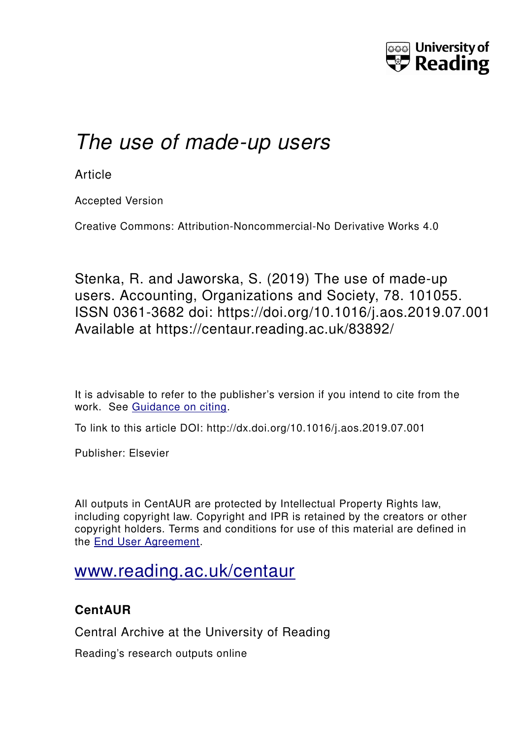

# *The use of made-up users*

**Article** 

Accepted Version

Creative Commons: Attribution-Noncommercial-No Derivative Works 4.0

Stenka, R. and Jaworska, S. (2019) The use of made-up users. Accounting, Organizations and Society, 78. 101055. ISSN 0361-3682 doi: https://doi.org/10.1016/j.aos.2019.07.001 Available at https://centaur.reading.ac.uk/83892/

It is advisable to refer to the publisher's version if you intend to cite from the work. See [Guidance on citing.](http://centaur.reading.ac.uk/71187/10/CentAUR%20citing%20guide.pdf)

To link to this article DOI: http://dx.doi.org/10.1016/j.aos.2019.07.001

Publisher: Elsevier

All outputs in CentAUR are protected by Intellectual Property Rights law, including copyright law. Copyright and IPR is retained by the creators or other copyright holders. Terms and conditions for use of this material are defined in the [End User Agreement.](http://centaur.reading.ac.uk/licence)

## [www.reading.ac.uk/centaur](http://www.reading.ac.uk/centaur)

### **CentAUR**

Central Archive at the University of Reading

Reading's research outputs online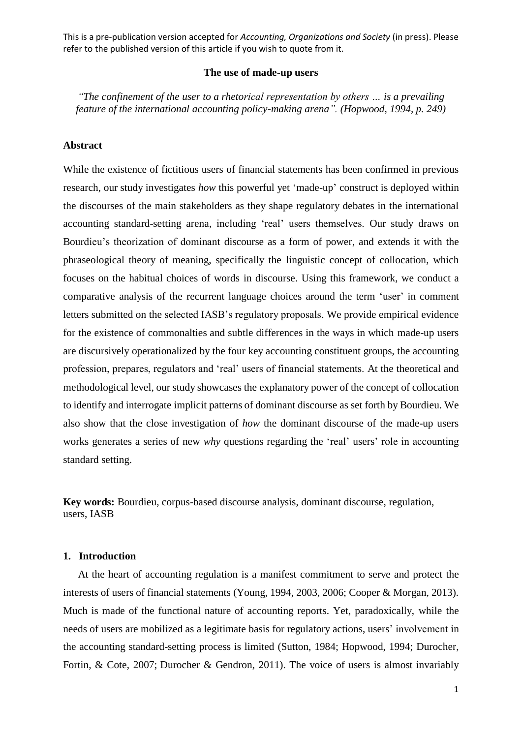#### **The use of made-up users**

*"The confinement of the user to a rhetorical representation by others … is a prevailing feature of the international accounting policy-making arena". (Hopwood, 1994, p. 249)*

#### **Abstract**

While the existence of fictitious users of financial statements has been confirmed in previous research, our study investigates *how* this powerful yet 'made-up' construct is deployed within the discourses of the main stakeholders as they shape regulatory debates in the international accounting standard-setting arena, including 'real' users themselves. Our study draws on Bourdieu's theorization of dominant discourse as a form of power, and extends it with the phraseological theory of meaning, specifically the linguistic concept of collocation, which focuses on the habitual choices of words in discourse. Using this framework, we conduct a comparative analysis of the recurrent language choices around the term 'user' in comment letters submitted on the selected IASB's regulatory proposals. We provide empirical evidence for the existence of commonalties and subtle differences in the ways in which made-up users are discursively operationalized by the four key accounting constituent groups, the accounting profession, prepares, regulators and 'real' users of financial statements. At the theoretical and methodological level, our study showcases the explanatory power of the concept of collocation to identify and interrogate implicit patterns of dominant discourse as set forth by Bourdieu. We also show that the close investigation of *how* the dominant discourse of the made-up users works generates a series of new *why* questions regarding the 'real' users' role in accounting standard setting.

**Key words:** Bourdieu, corpus-based discourse analysis, dominant discourse, regulation, users, IASB

#### **1. Introduction**

At the heart of accounting regulation is a manifest commitment to serve and protect the interests of users of financial statements (Young, 1994, 2003, 2006; Cooper & Morgan, 2013). Much is made of the functional nature of accounting reports. Yet, paradoxically, while the needs of users are mobilized as a legitimate basis for regulatory actions, users' involvement in the accounting standard-setting process is limited (Sutton, 1984; Hopwood, 1994; Durocher, Fortin, & Cote, 2007; Durocher & Gendron, 2011). The voice of users is almost invariably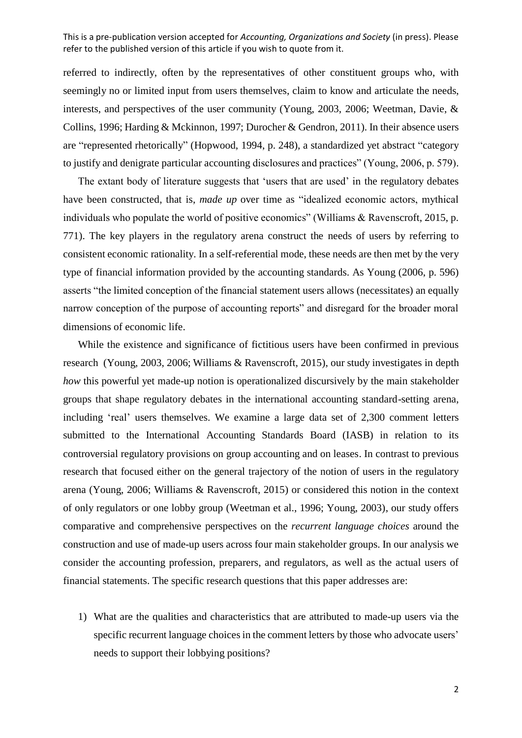referred to indirectly, often by the representatives of other constituent groups who, with seemingly no or limited input from users themselves, claim to know and articulate the needs, interests, and perspectives of the user community (Young, 2003, 2006; Weetman, Davie, & Collins, 1996; Harding & Mckinnon, 1997; Durocher & Gendron, 2011). In their absence users are "represented rhetorically" (Hopwood, 1994, p. 248), a standardized yet abstract "category to justify and denigrate particular accounting disclosures and practices" (Young, 2006, p. 579).

The extant body of literature suggests that 'users that are used' in the regulatory debates have been constructed, that is, *made up* over time as "idealized economic actors, mythical individuals who populate the world of positive economics" (Williams & Ravenscroft, 2015, p. 771). The key players in the regulatory arena construct the needs of users by referring to consistent economic rationality. In a self-referential mode, these needs are then met by the very type of financial information provided by the accounting standards. As Young (2006, p. 596) asserts "the limited conception of the financial statement users allows (necessitates) an equally narrow conception of the purpose of accounting reports" and disregard for the broader moral dimensions of economic life.

While the existence and significance of fictitious users have been confirmed in previous research (Young, 2003, 2006; Williams & Ravenscroft, 2015), our study investigates in depth *how* this powerful yet made-up notion is operationalized discursively by the main stakeholder groups that shape regulatory debates in the international accounting standard-setting arena, including 'real' users themselves. We examine a large data set of 2,300 comment letters submitted to the International Accounting Standards Board (IASB) in relation to its controversial regulatory provisions on group accounting and on leases. In contrast to previous research that focused either on the general trajectory of the notion of users in the regulatory arena (Young, 2006; Williams & Ravenscroft, 2015) or considered this notion in the context of only regulators or one lobby group (Weetman et al., 1996; Young, 2003), our study offers comparative and comprehensive perspectives on the *recurrent language choices* around the construction and use of made-up users across four main stakeholder groups. In our analysis we consider the accounting profession, preparers, and regulators, as well as the actual users of financial statements. The specific research questions that this paper addresses are:

1) What are the qualities and characteristics that are attributed to made-up users via the specific recurrent language choices in the comment letters by those who advocate users' needs to support their lobbying positions?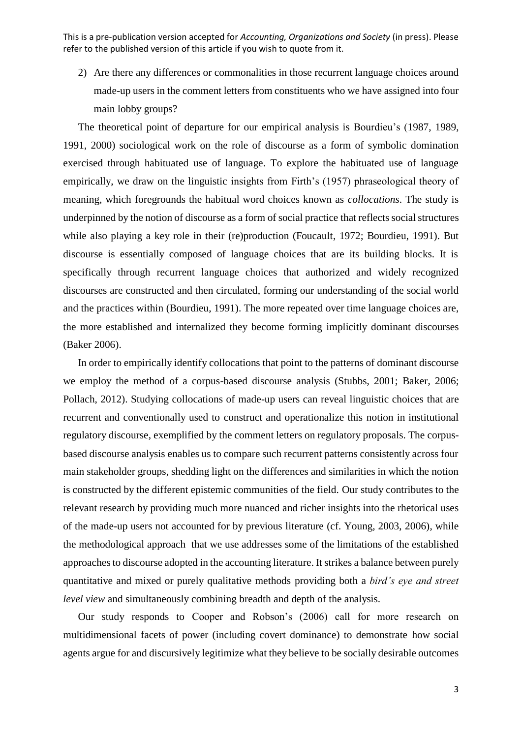2) Are there any differences or commonalities in those recurrent language choices around made-up users in the comment letters from constituents who we have assigned into four main lobby groups?

The theoretical point of departure for our empirical analysis is Bourdieu's (1987, 1989, 1991, 2000) sociological work on the role of discourse as a form of symbolic domination exercised through habituated use of language. To explore the habituated use of language empirically, we draw on the linguistic insights from Firth's (1957) phraseological theory of meaning, which foregrounds the habitual word choices known as *collocations*. The study is underpinned by the notion of discourse as a form of social practice that reflects social structures while also playing a key role in their (re)production (Foucault, 1972; Bourdieu, 1991). But discourse is essentially composed of language choices that are its building blocks. It is specifically through recurrent language choices that authorized and widely recognized discourses are constructed and then circulated, forming our understanding of the social world and the practices within (Bourdieu, 1991). The more repeated over time language choices are, the more established and internalized they become forming implicitly dominant discourses (Baker 2006).

In order to empirically identify collocations that point to the patterns of dominant discourse we employ the method of a corpus-based discourse analysis (Stubbs, 2001; Baker, 2006; Pollach, 2012). Studying collocations of made-up users can reveal linguistic choices that are recurrent and conventionally used to construct and operationalize this notion in institutional regulatory discourse, exemplified by the comment letters on regulatory proposals. The corpusbased discourse analysis enables us to compare such recurrent patterns consistently across four main stakeholder groups, shedding light on the differences and similarities in which the notion is constructed by the different epistemic communities of the field. Our study contributes to the relevant research by providing much more nuanced and richer insights into the rhetorical uses of the made-up users not accounted for by previous literature (cf. Young, 2003, 2006), while the methodological approach that we use addresses some of the limitations of the established approaches to discourse adopted in the accounting literature. It strikes a balance between purely quantitative and mixed or purely qualitative methods providing both a *bird's eye and street level view* and simultaneously combining breadth and depth of the analysis.

Our study responds to Cooper and Robson's (2006) call for more research on multidimensional facets of power (including covert dominance) to demonstrate how social agents argue for and discursively legitimize what they believe to be socially desirable outcomes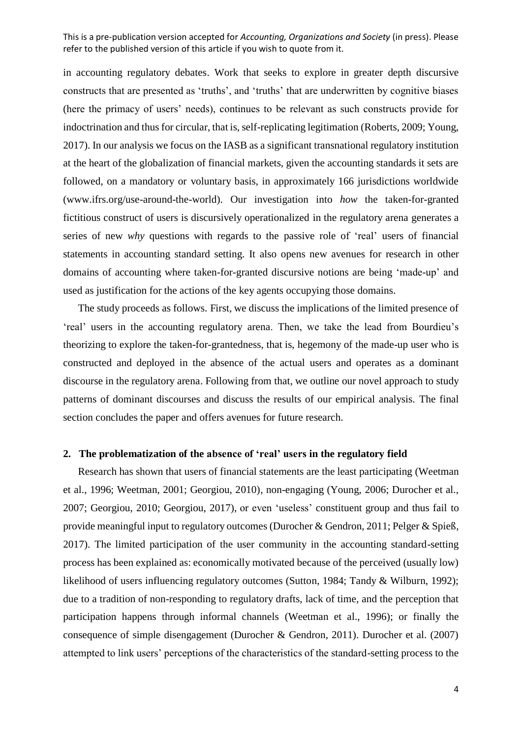in accounting regulatory debates. Work that seeks to explore in greater depth discursive constructs that are presented as 'truths', and 'truths' that are underwritten by cognitive biases (here the primacy of users' needs), continues to be relevant as such constructs provide for indoctrination and thus for circular, that is, self-replicating legitimation (Roberts, 2009; Young, 2017). In our analysis we focus on the IASB as a significant transnational regulatory institution at the heart of the globalization of financial markets, given the accounting standards it sets are followed, on a mandatory or voluntary basis, in approximately 166 jurisdictions worldwide (www.ifrs.org/use-around-the-world). Our investigation into *how* the taken-for-granted fictitious construct of users is discursively operationalized in the regulatory arena generates a series of new *why* questions with regards to the passive role of 'real' users of financial statements in accounting standard setting. It also opens new avenues for research in other domains of accounting where taken-for-granted discursive notions are being 'made-up' and used as justification for the actions of the key agents occupying those domains.

The study proceeds as follows. First, we discuss the implications of the limited presence of 'real' users in the accounting regulatory arena. Then, we take the lead from Bourdieu's theorizing to explore the taken-for-grantedness, that is, hegemony of the made-up user who is constructed and deployed in the absence of the actual users and operates as a dominant discourse in the regulatory arena. Following from that, we outline our novel approach to study patterns of dominant discourses and discuss the results of our empirical analysis. The final section concludes the paper and offers avenues for future research.

#### **2. The problematization of the absence of 'real' users in the regulatory field**

Research has shown that users of financial statements are the least participating (Weetman et al., 1996; Weetman, 2001; Georgiou, 2010), non-engaging (Young, 2006; Durocher et al., 2007; Georgiou, 2010; Georgiou, 2017), or even 'useless' constituent group and thus fail to provide meaningful input to regulatory outcomes (Durocher & Gendron, 2011; Pelger & Spieß, 2017). The limited participation of the user community in the accounting standard-setting process has been explained as: economically motivated because of the perceived (usually low) likelihood of users influencing regulatory outcomes (Sutton, 1984; Tandy & Wilburn, 1992); due to a tradition of non-responding to regulatory drafts, lack of time, and the perception that participation happens through informal channels (Weetman et al., 1996); or finally the consequence of simple disengagement (Durocher & Gendron, 2011). Durocher et al. (2007) attempted to link users' perceptions of the characteristics of the standard-setting process to the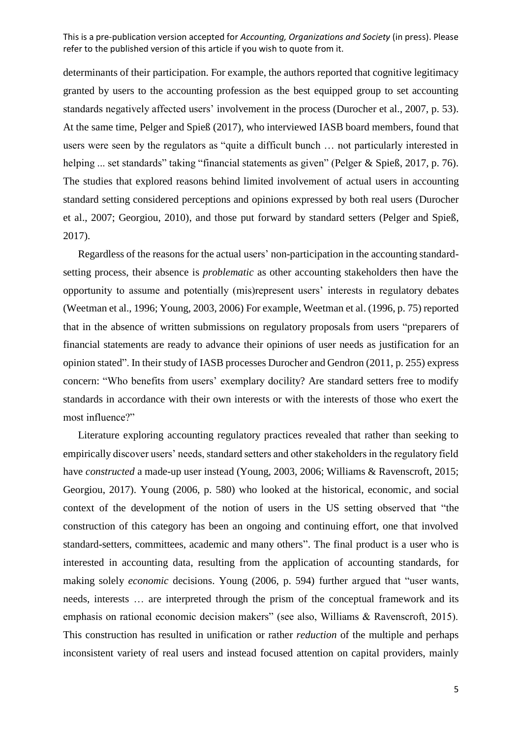determinants of their participation. For example, the authors reported that cognitive legitimacy granted by users to the accounting profession as the best equipped group to set accounting standards negatively affected users' involvement in the process (Durocher et al., 2007, p. 53). At the same time, Pelger and Spieß (2017), who interviewed IASB board members, found that users were seen by the regulators as "quite a difficult bunch … not particularly interested in helping ... set standards" taking "financial statements as given" (Pelger & Spieß, 2017, p. 76). The studies that explored reasons behind limited involvement of actual users in accounting standard setting considered perceptions and opinions expressed by both real users (Durocher et al., 2007; Georgiou, 2010), and those put forward by standard setters (Pelger and Spieß, 2017).

Regardless of the reasons for the actual users' non-participation in the accounting standardsetting process, their absence is *problematic* as other accounting stakeholders then have the opportunity to assume and potentially (mis)represent users' interests in regulatory debates (Weetman et al., 1996; Young, 2003, 2006) For example, Weetman et al. (1996, p. 75) reported that in the absence of written submissions on regulatory proposals from users "preparers of financial statements are ready to advance their opinions of user needs as justification for an opinion stated". In their study of IASB processes Durocher and Gendron (2011, p. 255) express concern: "Who benefits from users' exemplary docility? Are standard setters free to modify standards in accordance with their own interests or with the interests of those who exert the most influence?"

Literature exploring accounting regulatory practices revealed that rather than seeking to empirically discover users' needs, standard setters and other stakeholders in the regulatory field have *constructed* a made-up user instead (Young, 2003, 2006; Williams & Ravenscroft, 2015; Georgiou, 2017). Young (2006, p. 580) who looked at the historical, economic, and social context of the development of the notion of users in the US setting observed that "the construction of this category has been an ongoing and continuing effort, one that involved standard-setters, committees, academic and many others". The final product is a user who is interested in accounting data, resulting from the application of accounting standards, for making solely *economic* decisions. Young (2006, p. 594) further argued that "user wants, needs, interests … are interpreted through the prism of the conceptual framework and its emphasis on rational economic decision makers" (see also, Williams & Ravenscroft, 2015). This construction has resulted in unification or rather *reduction* of the multiple and perhaps inconsistent variety of real users and instead focused attention on capital providers, mainly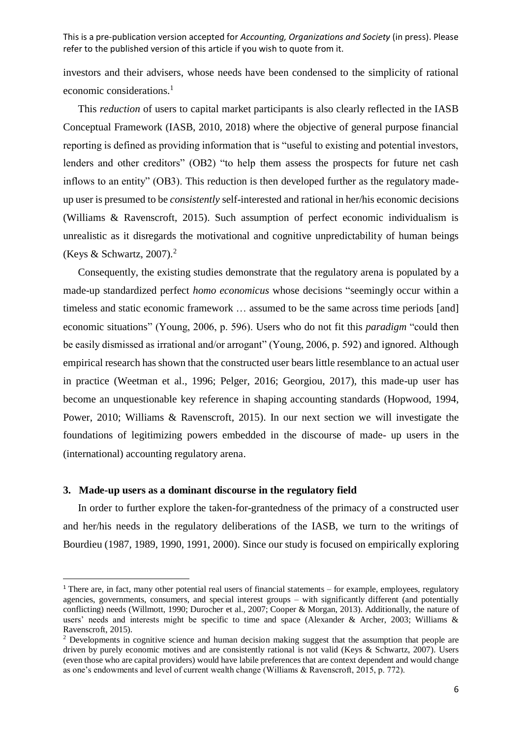investors and their advisers, whose needs have been condensed to the simplicity of rational economic considerations.<sup>1</sup>

This *reduction* of users to capital market participants is also clearly reflected in the IASB Conceptual Framework (IASB, 2010, 2018) where the objective of general purpose financial reporting is defined as providing information that is "useful to existing and potential investors, lenders and other creditors" (OB2) "to help them assess the prospects for future net cash inflows to an entity" (OB3). This reduction is then developed further as the regulatory madeup user is presumed to be *consistently* self-interested and rational in her/his economic decisions (Williams & Ravenscroft, 2015). Such assumption of perfect economic individualism is unrealistic as it disregards the motivational and cognitive unpredictability of human beings (Keys & Schwartz, 2007).<sup>2</sup>

Consequently, the existing studies demonstrate that the regulatory arena is populated by a made-up standardized perfect *homo economicus* whose decisions "seemingly occur within a timeless and static economic framework … assumed to be the same across time periods [and] economic situations" (Young, 2006, p. 596). Users who do not fit this *paradigm* "could then be easily dismissed as irrational and/or arrogant" (Young, 2006, p. 592) and ignored. Although empirical research has shown that the constructed user bears little resemblance to an actual user in practice (Weetman et al., 1996; Pelger, 2016; Georgiou, 2017), this made-up user has become an unquestionable key reference in shaping accounting standards (Hopwood, 1994, Power, 2010; Williams & Ravenscroft, 2015). In our next section we will investigate the foundations of legitimizing powers embedded in the discourse of made- up users in the (international) accounting regulatory arena.

#### **3. Made-up users as a dominant discourse in the regulatory field**

1

In order to further explore the taken-for-grantedness of the primacy of a constructed user and her/his needs in the regulatory deliberations of the IASB, we turn to the writings of Bourdieu (1987, 1989, 1990, 1991, 2000). Since our study is focused on empirically exploring

<sup>&</sup>lt;sup>1</sup> There are, in fact, many other potential real users of financial statements – for example, employees, regulatory agencies, governments, consumers, and special interest groups – with significantly different (and potentially conflicting) needs (Willmott, 1990; Durocher et al., 2007; Cooper & Morgan, 2013). Additionally, the nature of users' needs and interests might be specific to time and space (Alexander & Archer, 2003; Williams & Ravenscroft, 2015).

<sup>&</sup>lt;sup>2</sup> Developments in cognitive science and human decision making suggest that the assumption that people are driven by purely economic motives and are consistently rational is not valid (Keys & Schwartz, 2007). Users (even those who are capital providers) would have labile preferences that are context dependent and would change as one's endowments and level of current wealth change (Williams & Ravenscroft, 2015, p. 772).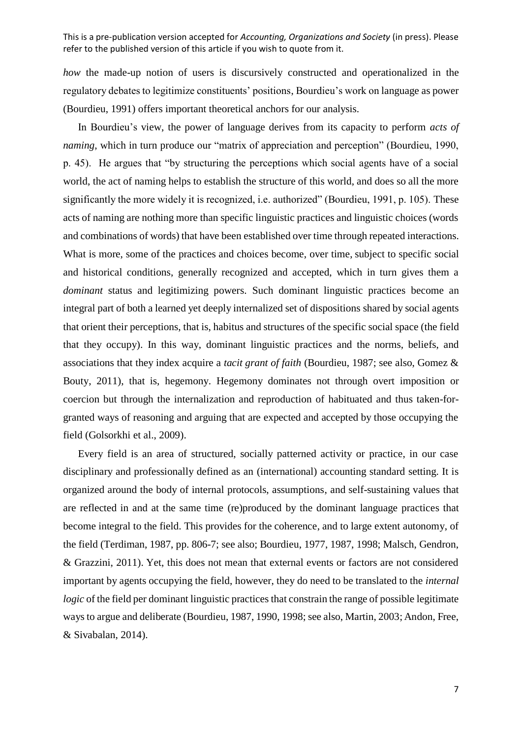*how* the made-up notion of users is discursively constructed and operationalized in the regulatory debates to legitimize constituents' positions, Bourdieu's work on language as power (Bourdieu, 1991) offers important theoretical anchors for our analysis.

In Bourdieu's view, the power of language derives from its capacity to perform *acts of naming*, which in turn produce our "matrix of appreciation and perception" (Bourdieu, 1990, p. 45). He argues that "by structuring the perceptions which social agents have of a social world, the act of naming helps to establish the structure of this world, and does so all the more significantly the more widely it is recognized, i.e. authorized" (Bourdieu, 1991, p. 105). These acts of naming are nothing more than specific linguistic practices and linguistic choices (words and combinations of words) that have been established over time through repeated interactions. What is more, some of the practices and choices become, over time, subject to specific social and historical conditions, generally recognized and accepted, which in turn gives them a *dominant* status and legitimizing powers. Such dominant linguistic practices become an integral part of both a learned yet deeply internalized set of dispositions shared by social agents that orient their perceptions, that is, habitus and structures of the specific social space (the field that they occupy). In this way, dominant linguistic practices and the norms, beliefs, and associations that they index acquire a *tacit grant of faith* (Bourdieu, 1987; see also, Gomez & Bouty, 2011), that is, hegemony. Hegemony dominates not through overt imposition or coercion but through the internalization and reproduction of habituated and thus taken-forgranted ways of reasoning and arguing that are expected and accepted by those occupying the field (Golsorkhi et al., 2009).

Every field is an area of structured, socially patterned activity or practice, in our case disciplinary and professionally defined as an (international) accounting standard setting. It is organized around the body of internal protocols, assumptions, and self-sustaining values that are reflected in and at the same time (re)produced by the dominant language practices that become integral to the field. This provides for the coherence, and to large extent autonomy, of the field (Terdiman, 1987, pp. 806-7; see also; Bourdieu, 1977, 1987, 1998; Malsch, Gendron, & Grazzini, 2011). Yet, this does not mean that external events or factors are not considered important by agents occupying the field, however, they do need to be translated to the *internal logic* of the field per dominant linguistic practices that constrain the range of possible legitimate ways to argue and deliberate (Bourdieu, 1987, 1990, 1998; see also, Martin, 2003; Andon, Free, & Sivabalan, 2014).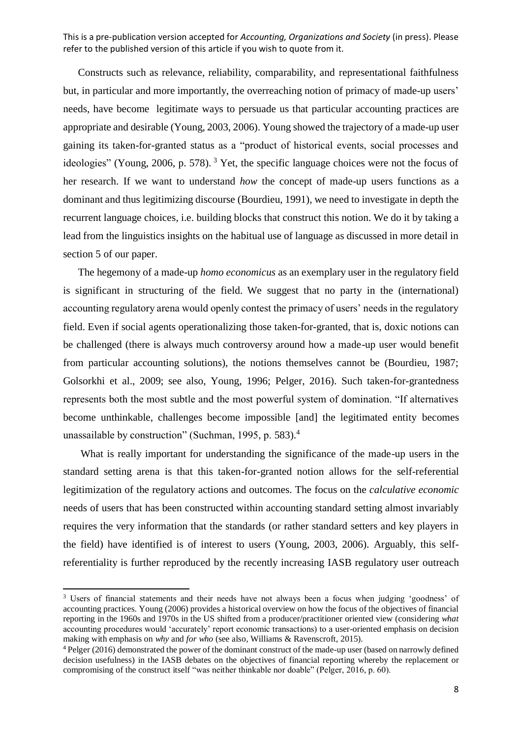Constructs such as relevance, reliability, comparability, and representational faithfulness but, in particular and more importantly, the overreaching notion of primacy of made-up users' needs, have become legitimate ways to persuade us that particular accounting practices are appropriate and desirable (Young, 2003, 2006). Young showed the trajectory of a made-up user gaining its taken-for-granted status as a "product of historical events, social processes and ideologies" (Young, 2006, p. 578).<sup>3</sup> Yet, the specific language choices were not the focus of her research. If we want to understand *how* the concept of made-up users functions as a dominant and thus legitimizing discourse (Bourdieu, 1991), we need to investigate in depth the recurrent language choices, i.e. building blocks that construct this notion. We do it by taking a lead from the linguistics insights on the habitual use of language as discussed in more detail in section 5 of our paper.

The hegemony of a made-up *homo economicus* as an exemplary user in the regulatory field is significant in structuring of the field. We suggest that no party in the (international) accounting regulatory arena would openly contest the primacy of users' needs in the regulatory field. Even if social agents operationalizing those taken-for-granted, that is, doxic notions can be challenged (there is always much controversy around how a made-up user would benefit from particular accounting solutions), the notions themselves cannot be (Bourdieu, 1987; Golsorkhi et al., 2009; see also, Young, 1996; Pelger, 2016). Such taken-for-grantedness represents both the most subtle and the most powerful system of domination. "If alternatives become unthinkable, challenges become impossible [and] the legitimated entity becomes unassailable by construction" (Suchman, 1995, p. 583). $<sup>4</sup>$ </sup>

What is really important for understanding the significance of the made-up users in the standard setting arena is that this taken-for-granted notion allows for the self-referential legitimization of the regulatory actions and outcomes. The focus on the *calculative economic* needs of users that has been constructed within accounting standard setting almost invariably requires the very information that the standards (or rather standard setters and key players in the field) have identified is of interest to users (Young, 2003, 2006). Arguably, this selfreferentiality is further reproduced by the recently increasing IASB regulatory user outreach

1

<sup>&</sup>lt;sup>3</sup> Users of financial statements and their needs have not always been a focus when judging 'goodness' of accounting practices. Young (2006) provides a historical overview on how the focus of the objectives of financial reporting in the 1960s and 1970s in the US shifted from a producer/practitioner oriented view (considering *what* accounting procedures would 'accurately' report economic transactions) to a user-oriented emphasis on decision making with emphasis on *why* and *for who* (see also, Williams & Ravenscroft, 2015).

<sup>4</sup>Pelger (2016) demonstrated the power of the dominant construct of the made-up user (based on narrowly defined decision usefulness) in the IASB debates on the objectives of financial reporting whereby the replacement or compromising of the construct itself "was neither thinkable nor doable" (Pelger, 2016, p. 60).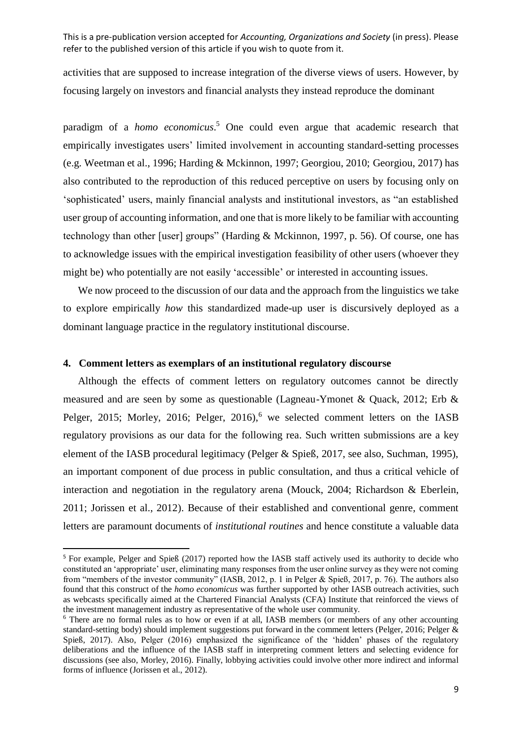activities that are supposed to increase integration of the diverse views of users. However, by focusing largely on investors and financial analysts they instead reproduce the dominant

paradigm of a *homo economicus*. <sup>5</sup> One could even argue that academic research that empirically investigates users' limited involvement in accounting standard-setting processes (e.g. Weetman et al., 1996; Harding & Mckinnon, 1997; Georgiou, 2010; Georgiou, 2017) has also contributed to the reproduction of this reduced perceptive on users by focusing only on 'sophisticated' users, mainly financial analysts and institutional investors, as "an established user group of accounting information, and one that is more likely to be familiar with accounting technology than other [user] groups" (Harding & Mckinnon, 1997, p. 56). Of course, one has to acknowledge issues with the empirical investigation feasibility of other users (whoever they might be) who potentially are not easily 'accessible' or interested in accounting issues.

We now proceed to the discussion of our data and the approach from the linguistics we take to explore empirically *how* this standardized made-up user is discursively deployed as a dominant language practice in the regulatory institutional discourse.

#### **4. Comment letters as exemplars of an institutional regulatory discourse**

1

Although the effects of comment letters on regulatory outcomes cannot be directly measured and are seen by some as questionable (Lagneau-Ymonet & Quack, 2012; Erb & Pelger, 2015; Morley, 2016; Pelger, 2016),<sup>6</sup> we selected comment letters on the IASB regulatory provisions as our data for the following rea. Such written submissions are a key element of the IASB procedural legitimacy (Pelger & Spieß, 2017, see also, Suchman, 1995), an important component of due process in public consultation, and thus a critical vehicle of interaction and negotiation in the regulatory arena (Mouck, 2004; Richardson & Eberlein, 2011; Jorissen et al., 2012). Because of their established and conventional genre, comment letters are paramount documents of *institutional routines* and hence constitute a valuable data

<sup>5</sup> For example, Pelger and Spieß (2017) reported how the IASB staff actively used its authority to decide who constituted an 'appropriate' user, eliminating many responses from the user online survey as they were not coming from "members of the investor community" (IASB, 2012, p. 1 in Pelger & Spieß, 2017, p. 76). The authors also found that this construct of the *homo economicus* was further supported by other IASB outreach activities, such as webcasts specifically aimed at the Chartered Financial Analysts (CFA) Institute that reinforced the views of the investment management industry as representative of the whole user community.

<sup>6</sup> There are no formal rules as to how or even if at all, IASB members (or members of any other accounting standard-setting body) should implement suggestions put forward in the comment letters (Pelger, 2016; Pelger & Spieß, 2017). Also, Pelger (2016) emphasized the significance of the 'hidden' phases of the regulatory deliberations and the influence of the IASB staff in interpreting comment letters and selecting evidence for discussions (see also, Morley, 2016). Finally, lobbying activities could involve other more indirect and informal forms of influence (Jorissen et al., 2012).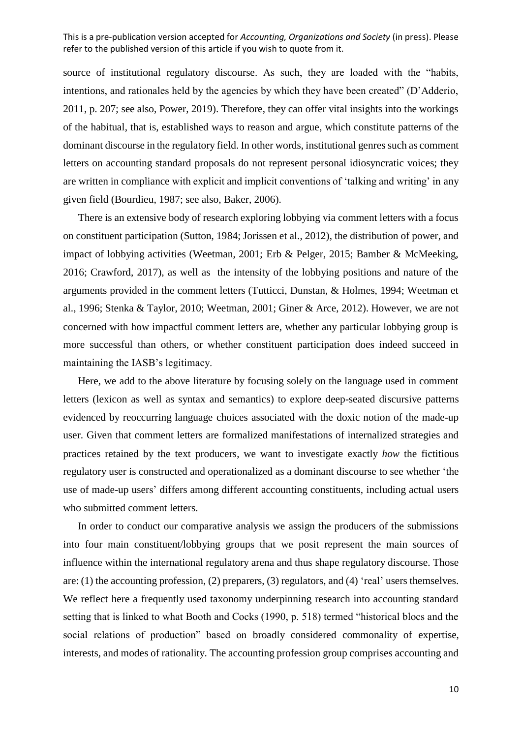source of institutional regulatory discourse. As such, they are loaded with the "habits, intentions, and rationales held by the agencies by which they have been created" (D'Adderio, 2011, p. 207; see also, Power, 2019). Therefore, they can offer vital insights into the workings of the habitual, that is, established ways to reason and argue, which constitute patterns of the dominant discourse in the regulatory field. In other words, institutional genres such as comment letters on accounting standard proposals do not represent personal idiosyncratic voices; they are written in compliance with explicit and implicit conventions of 'talking and writing' in any given field (Bourdieu, 1987; see also, Baker, 2006).

There is an extensive body of research exploring lobbying via comment letters with a focus on constituent participation (Sutton, 1984; Jorissen et al., 2012), the distribution of power, and impact of lobbying activities (Weetman, 2001; Erb & Pelger, 2015; Bamber & McMeeking, 2016; Crawford, 2017), as well as the intensity of the lobbying positions and nature of the arguments provided in the comment letters (Tutticci, Dunstan, & Holmes, 1994; Weetman et al., 1996; Stenka & Taylor, 2010; Weetman, 2001; Giner & Arce, 2012). However, we are not concerned with how impactful comment letters are, whether any particular lobbying group is more successful than others, or whether constituent participation does indeed succeed in maintaining the IASB's legitimacy.

Here, we add to the above literature by focusing solely on the language used in comment letters (lexicon as well as syntax and semantics) to explore deep-seated discursive patterns evidenced by reoccurring language choices associated with the doxic notion of the made-up user. Given that comment letters are formalized manifestations of internalized strategies and practices retained by the text producers, we want to investigate exactly *how* the fictitious regulatory user is constructed and operationalized as a dominant discourse to see whether 'the use of made-up users' differs among different accounting constituents, including actual users who submitted comment letters.

In order to conduct our comparative analysis we assign the producers of the submissions into four main constituent/lobbying groups that we posit represent the main sources of influence within the international regulatory arena and thus shape regulatory discourse. Those are: (1) the accounting profession, (2) preparers, (3) regulators, and (4) 'real' users themselves. We reflect here a frequently used taxonomy underpinning research into accounting standard setting that is linked to what Booth and Cocks (1990, p. 518) termed "historical blocs and the social relations of production" based on broadly considered commonality of expertise, interests, and modes of rationality. The accounting profession group comprises accounting and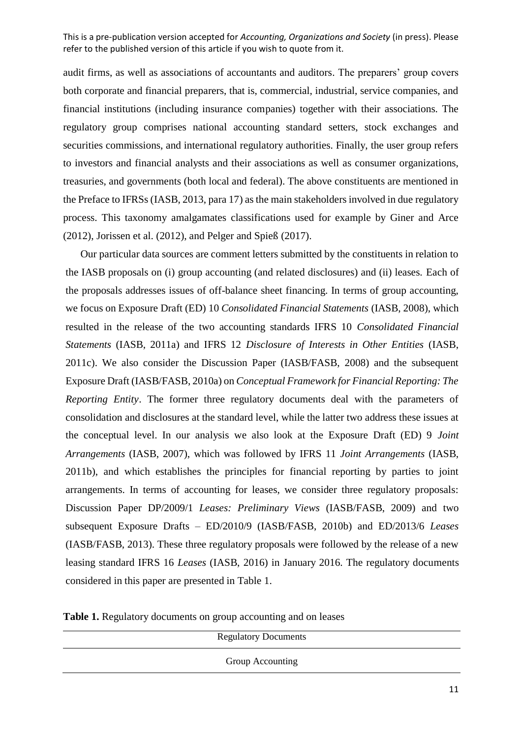audit firms, as well as associations of accountants and auditors. The preparers' group covers both corporate and financial preparers, that is, commercial, industrial, service companies, and financial institutions (including insurance companies) together with their associations. The regulatory group comprises national accounting standard setters, stock exchanges and securities commissions, and international regulatory authorities. Finally, the user group refers to investors and financial analysts and their associations as well as consumer organizations, treasuries, and governments (both local and federal). The above constituents are mentioned in the Preface to IFRSs (IASB, 2013, para 17) as the main stakeholders involved in due regulatory process. This taxonomy amalgamates classifications used for example by Giner and Arce (2012), Jorissen et al. (2012), and Pelger and Spieß (2017).

Our particular data sources are comment letters submitted by the constituents in relation to the IASB proposals on (i) group accounting (and related disclosures) and (ii) leases. Each of the proposals addresses issues of off-balance sheet financing. In terms of group accounting, we focus on Exposure Draft (ED) 10 *Consolidated Financial Statements* (IASB, 2008), which resulted in the release of the two accounting standards IFRS 10 *Consolidated Financial Statements* (IASB, 2011a) and IFRS 12 *Disclosure of Interests in Other Entities* (IASB, 2011c). We also consider the Discussion Paper (IASB/FASB, 2008) and the subsequent Exposure Draft (IASB/FASB, 2010a) on *Conceptual Framework for Financial Reporting: The Reporting Entity*. The former three regulatory documents deal with the parameters of consolidation and disclosures at the standard level, while the latter two address these issues at the conceptual level. In our analysis we also look at the Exposure Draft (ED) 9 *Joint Arrangements* (IASB, 2007), which was followed by IFRS 11 *Joint Arrangements* (IASB, 2011b), and which establishes the principles for financial reporting by parties to joint arrangements. In terms of accounting for leases, we consider three regulatory proposals: Discussion Paper DP/2009/1 *Leases: Preliminary Views* (IASB/FASB, 2009) and two subsequent Exposure Drafts – ED/2010/9 (IASB/FASB, 2010b) and ED/2013/6 *Leases* (IASB/FASB, 2013). These three regulatory proposals were followed by the release of a new leasing standard IFRS 16 *Leases* (IASB, 2016) in January 2016. The regulatory documents considered in this paper are presented in Table 1.

|  |  | Table 1. Regulatory documents on group accounting and on leases |  |
|--|--|-----------------------------------------------------------------|--|
|  |  |                                                                 |  |

| <b>Regulatory Documents</b> |
|-----------------------------|
| Group Accounting            |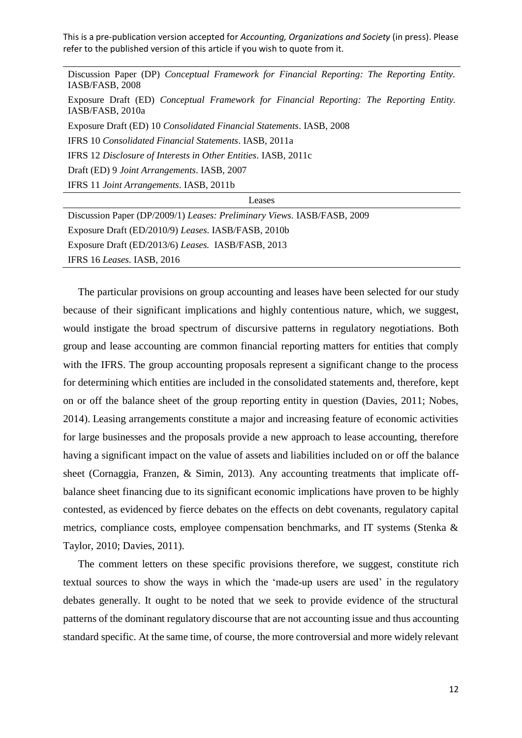Discussion Paper (DP) *Conceptual Framework for Financial Reporting: The Reporting Entity.*  IASB/FASB, 2008 Exposure Draft (ED) *Conceptual Framework for Financial Reporting: The Reporting Entity.*  IASB/FASB, 2010a Exposure Draft (ED) 10 *Consolidated Financial Statements*. IASB, 2008 IFRS 10 *Consolidated Financial Statements*. IASB, 2011a IFRS 12 *Disclosure of Interests in Other Entities*. IASB, 2011c Draft (ED) 9 *Joint Arrangements*. IASB, 2007 IFRS 11 *Joint Arrangements*. IASB, 2011b

Leases

Discussion Paper (DP/2009/1) *Leases: Preliminary Views*. IASB/FASB, 2009 Exposure Draft (ED/2010/9) *Leases*. IASB/FASB, 2010b Exposure Draft (ED/2013/6) *Leases.* IASB/FASB, 2013 IFRS 16 *Leases*. IASB, 2016

The particular provisions on group accounting and leases have been selected for our study because of their significant implications and highly contentious nature, which, we suggest, would instigate the broad spectrum of discursive patterns in regulatory negotiations. Both group and lease accounting are common financial reporting matters for entities that comply with the IFRS. The group accounting proposals represent a significant change to the process for determining which entities are included in the consolidated statements and, therefore, kept on or off the balance sheet of the group reporting entity in question (Davies, 2011; Nobes, 2014). Leasing arrangements constitute a major and increasing feature of economic activities for large businesses and the proposals provide a new approach to lease accounting, therefore having a significant impact on the value of assets and liabilities included on or off the balance sheet (Cornaggia, Franzen, & Simin, 2013). Any accounting treatments that implicate offbalance sheet financing due to its significant economic implications have proven to be highly contested, as evidenced by fierce debates on the effects on debt covenants, regulatory capital metrics, compliance costs, employee compensation benchmarks, and IT systems (Stenka & Taylor, 2010; Davies, 2011).

The comment letters on these specific provisions therefore, we suggest, constitute rich textual sources to show the ways in which the 'made-up users are used' in the regulatory debates generally. It ought to be noted that we seek to provide evidence of the structural patterns of the dominant regulatory discourse that are not accounting issue and thus accounting standard specific. At the same time, of course, the more controversial and more widely relevant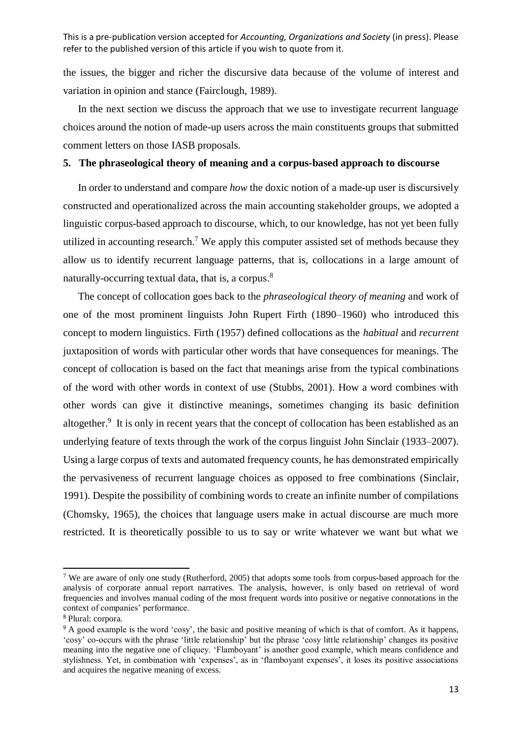the issues, the bigger and richer the discursive data because of the volume of interest and variation in opinion and stance (Fairclough, 1989).

In the next section we discuss the approach that we use to investigate recurrent language choices around the notion of made-up users across the main constituents groups that submitted comment letters on those IASB proposals.

#### **5. The phraseological theory of meaning and a corpus-based approach to discourse**

In order to understand and compare *how* the doxic notion of a made-up user is discursively constructed and operationalized across the main accounting stakeholder groups, we adopted a linguistic corpus-based approach to discourse, which, to our knowledge, has not yet been fully utilized in accounting research.<sup>7</sup> We apply this computer assisted set of methods because they allow us to identify recurrent language patterns, that is, collocations in a large amount of naturally-occurring textual data, that is, a corpus.<sup>8</sup>

The concept of collocation goes back to the *phraseological theory of meaning* and work of one of the most prominent linguists John Rupert Firth (1890–1960) who introduced this concept to modern linguistics. Firth (1957) defined collocations as the *habitual* and *recurrent* juxtaposition of words with particular other words that have consequences for meanings. The concept of collocation is based on the fact that meanings arise from the typical combinations of the word with other words in context of use (Stubbs, 2001). How a word combines with other words can give it distinctive meanings, sometimes changing its basic definition altogether.<sup>9</sup> It is only in recent years that the concept of collocation has been established as an underlying feature of texts through the work of the corpus linguist John Sinclair (1933–2007). Using a large corpus of texts and automated frequency counts, he has demonstrated empirically the pervasiveness of recurrent language choices as opposed to free combinations (Sinclair, 1991). Despite the possibility of combining words to create an infinite number of compilations (Chomsky, 1965), the choices that language users make in actual discourse are much more restricted. It is theoretically possible to us to say or write whatever we want but what we

1

<sup>&</sup>lt;sup>7</sup> We are aware of only one study (Rutherford, 2005) that adopts some tools from corpus-based approach for the analysis of corporate annual report narratives. The analysis, however, is only based on retrieval of word frequencies and involves manual coding of the most frequent words into positive or negative connotations in the context of companies' performance.

<sup>8</sup> Plural: corpora.

<sup>&</sup>lt;sup>9</sup> A good example is the word 'cosy', the basic and positive meaning of which is that of comfort. As it happens, 'cosy' co-occurs with the phrase 'little relationship' but the phrase 'cosy little relationship' changes its positive meaning into the negative one of cliquey. 'Flamboyant' is another good example, which means confidence and stylishness. Yet, in combination with 'expenses', as in 'flamboyant expenses', it loses its positive associations and acquires the negative meaning of excess.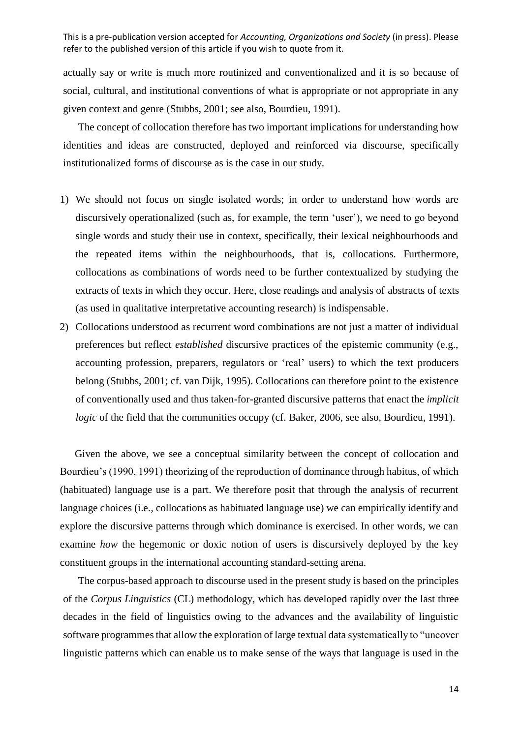actually say or write is much more routinized and conventionalized and it is so because of social, cultural, and institutional conventions of what is appropriate or not appropriate in any given context and genre (Stubbs, 2001; see also, Bourdieu, 1991).

The concept of collocation therefore has two important implications for understanding how identities and ideas are constructed, deployed and reinforced via discourse, specifically institutionalized forms of discourse as is the case in our study.

- 1) We should not focus on single isolated words; in order to understand how words are discursively operationalized (such as, for example, the term 'user'), we need to go beyond single words and study their use in context, specifically, their lexical neighbourhoods and the repeated items within the neighbourhoods, that is, collocations. Furthermore, collocations as combinations of words need to be further contextualized by studying the extracts of texts in which they occur. Here, close readings and analysis of abstracts of texts (as used in qualitative interpretative accounting research) is indispensable.
- 2) Collocations understood as recurrent word combinations are not just a matter of individual preferences but reflect *established* discursive practices of the epistemic community (e.g., accounting profession, preparers, regulators or 'real' users) to which the text producers belong (Stubbs, 2001; cf. van Dijk, 1995). Collocations can therefore point to the existence of conventionally used and thus taken-for-granted discursive patterns that enact the *implicit logic* of the field that the communities occupy (cf. Baker, 2006, see also, Bourdieu, 1991).

Given the above, we see a conceptual similarity between the concept of collocation and Bourdieu's (1990, 1991) theorizing of the reproduction of dominance through habitus, of which (habituated) language use is a part. We therefore posit that through the analysis of recurrent language choices (i.e., collocations as habituated language use) we can empirically identify and explore the discursive patterns through which dominance is exercised. In other words, we can examine *how* the hegemonic or doxic notion of users is discursively deployed by the key constituent groups in the international accounting standard-setting arena.

The corpus-based approach to discourse used in the present study is based on the principles of the *Corpus Linguistics* (CL) methodology, which has developed rapidly over the last three decades in the field of linguistics owing to the advances and the availability of linguistic software programmes that allow the exploration of large textual data systematically to "uncover linguistic patterns which can enable us to make sense of the ways that language is used in the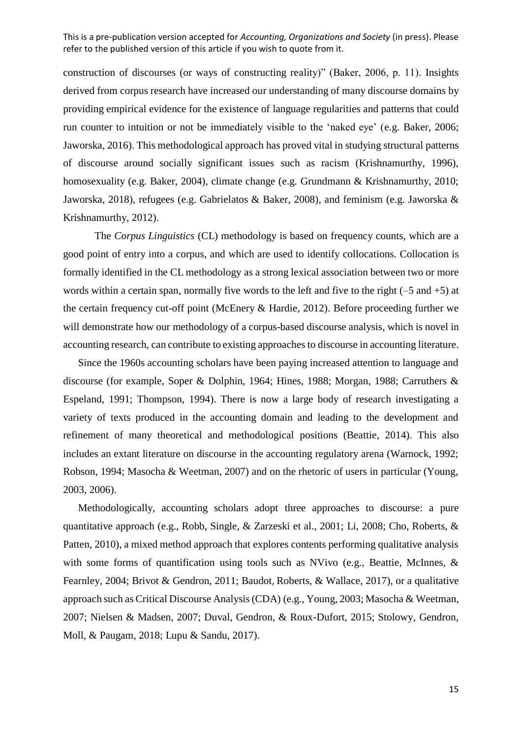construction of discourses (or ways of constructing reality)" (Baker, 2006, p. 11). Insights derived from corpus research have increased our understanding of many discourse domains by providing empirical evidence for the existence of language regularities and patterns that could run counter to intuition or not be immediately visible to the 'naked eye' (e.g. Baker, 2006; Jaworska, 2016). This methodological approach has proved vital in studying structural patterns of discourse around socially significant issues such as racism (Krishnamurthy, 1996), homosexuality (e.g. Baker, 2004), climate change (e.g. Grundmann & Krishnamurthy, 2010; Jaworska, 2018), refugees (e.g. Gabrielatos & Baker, 2008), and feminism (e.g. Jaworska & Krishnamurthy, 2012).

The *Corpus Linguistics* (CL) methodology is based on frequency counts, which are a good point of entry into a corpus, and which are used to identify collocations. Collocation is formally identified in the CL methodology as a strong lexical association between two or more words within a certain span, normally five words to the left and five to the right  $(-5 \text{ and } +5)$  at the certain frequency cut-off point (McEnery & Hardie, 2012). Before proceeding further we will demonstrate how our methodology of a corpus-based discourse analysis, which is novel in accounting research, can contribute to existing approaches to discourse in accounting literature.

Since the 1960s accounting scholars have been paying increased attention to language and discourse (for example, Soper & Dolphin, 1964; Hines, 1988; Morgan, 1988; Carruthers & Espeland, 1991; Thompson, 1994). There is now a large body of research investigating a variety of texts produced in the accounting domain and leading to the development and refinement of many theoretical and methodological positions (Beattie, 2014). This also includes an extant literature on discourse in the accounting regulatory arena (Warnock, 1992; Robson, 1994; Masocha & Weetman, 2007) and on the rhetoric of users in particular (Young, 2003, 2006).

Methodologically, accounting scholars adopt three approaches to discourse: a pure quantitative approach (e.g., Robb, Single, & Zarzeski et al., 2001; Li, 2008; Cho, Roberts, & Patten, 2010), a mixed method approach that explores contents performing qualitative analysis with some forms of quantification using tools such as NVivo (e.g., Beattie, McInnes, & Fearnley, 2004; Brivot & Gendron, 2011; Baudot, Roberts, & Wallace, 2017), or a qualitative approach such as Critical Discourse Analysis (CDA) (e.g., Young, 2003; Masocha & Weetman, 2007; Nielsen & Madsen, 2007; Duval, Gendron, & Roux-Dufort, 2015; Stolowy, Gendron, Moll, & Paugam, 2018; Lupu & Sandu, 2017).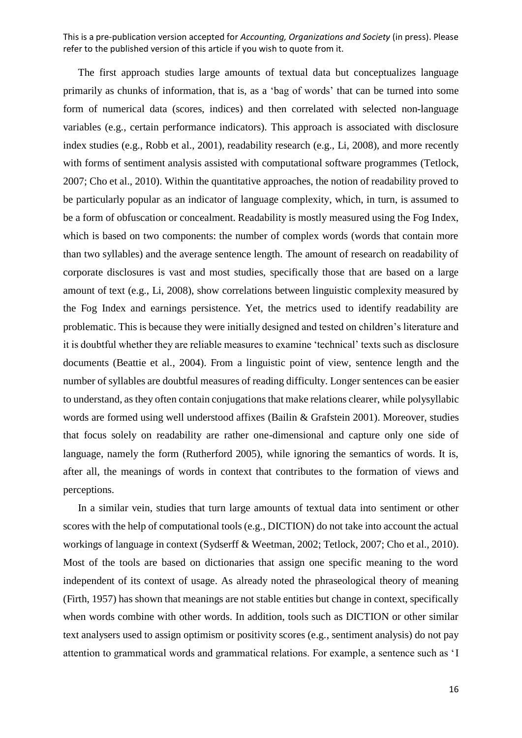The first approach studies large amounts of textual data but conceptualizes language primarily as chunks of information, that is, as a 'bag of words' that can be turned into some form of numerical data (scores, indices) and then correlated with selected non-language variables (e.g., certain performance indicators). This approach is associated with disclosure index studies (e.g., Robb et al., 2001), readability research (e.g., Li, 2008), and more recently with forms of sentiment analysis assisted with computational software programmes (Tetlock, 2007; Cho et al., 2010). Within the quantitative approaches, the notion of readability proved to be particularly popular as an indicator of language complexity, which, in turn, is assumed to be a form of obfuscation or concealment. Readability is mostly measured using the Fog Index, which is based on two components: the number of complex words (words that contain more than two syllables) and the average sentence length. The amount of research on readability of corporate disclosures is vast and most studies, specifically those that are based on a large amount of text (e.g., Li, 2008), show correlations between linguistic complexity measured by the Fog Index and earnings persistence. Yet, the metrics used to identify readability are problematic. This is because they were initially designed and tested on children's literature and it is doubtful whether they are reliable measures to examine 'technical' texts such as disclosure documents (Beattie et al., 2004). From a linguistic point of view, sentence length and the number of syllables are doubtful measures of reading difficulty. Longer sentences can be easier to understand, as they often contain conjugations that make relations clearer, while polysyllabic words are formed using well understood affixes (Bailin & Grafstein 2001). Moreover, studies that focus solely on readability are rather one-dimensional and capture only one side of language, namely the form (Rutherford 2005), while ignoring the semantics of words. It is, after all, the meanings of words in context that contributes to the formation of views and perceptions.

In a similar vein, studies that turn large amounts of textual data into sentiment or other scores with the help of computational tools (e.g., DICTION) do not take into account the actual workings of language in context (Sydserff & Weetman, 2002; Tetlock, 2007; Cho et al., 2010). Most of the tools are based on dictionaries that assign one specific meaning to the word independent of its context of usage. As already noted the phraseological theory of meaning (Firth, 1957) has shown that meanings are not stable entities but change in context, specifically when words combine with other words. In addition, tools such as DICTION or other similar text analysers used to assign optimism or positivity scores (e.g., sentiment analysis) do not pay attention to grammatical words and grammatical relations. For example, a sentence such as 'I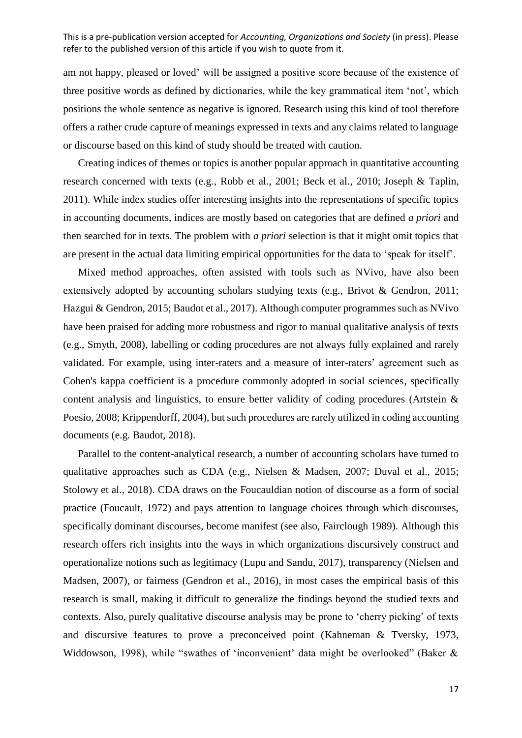am not happy, pleased or loved' will be assigned a positive score because of the existence of three positive words as defined by dictionaries, while the key grammatical item 'not', which positions the whole sentence as negative is ignored. Research using this kind of tool therefore offers a rather crude capture of meanings expressed in texts and any claims related to language or discourse based on this kind of study should be treated with caution.

Creating indices of themes or topics is another popular approach in quantitative accounting research concerned with texts (e.g., Robb et al., 2001; Beck et al., 2010; Joseph & Taplin, 2011). While index studies offer interesting insights into the representations of specific topics in accounting documents, indices are mostly based on categories that are defined *a priori* and then searched for in texts. The problem with *a priori* selection is that it might omit topics that are present in the actual data limiting empirical opportunities for the data to 'speak for itself'.

Mixed method approaches, often assisted with tools such as NVivo, have also been extensively adopted by accounting scholars studying texts (e.g., Brivot & Gendron, 2011; Hazgui & Gendron, 2015; Baudot et al., 2017). Although computer programmes such as NVivo have been praised for adding more robustness and rigor to manual qualitative analysis of texts (e.g., Smyth, 2008), labelling or coding procedures are not always fully explained and rarely validated. For example, using inter-raters and a measure of inter-raters' agreement such as Cohen's kappa coefficient is a procedure commonly adopted in social sciences, specifically content analysis and linguistics, to ensure better validity of coding procedures (Artstein & Poesio, 2008; Krippendorff, 2004), but such procedures are rarely utilized in coding accounting documents (e.g. Baudot, 2018).

Parallel to the content-analytical research, a number of accounting scholars have turned to qualitative approaches such as CDA (e.g., Nielsen & Madsen, 2007; Duval et al., 2015; Stolowy et al., 2018). CDA draws on the Foucauldian notion of discourse as a form of social practice (Foucault, 1972) and pays attention to language choices through which discourses, specifically dominant discourses, become manifest (see also, Fairclough 1989). Although this research offers rich insights into the ways in which organizations discursively construct and operationalize notions such as legitimacy (Lupu and Sandu, 2017), transparency (Nielsen and Madsen, 2007), or fairness (Gendron et al., 2016), in most cases the empirical basis of this research is small, making it difficult to generalize the findings beyond the studied texts and contexts. Also, purely qualitative discourse analysis may be prone to 'cherry picking' of texts and discursive features to prove a preconceived point (Kahneman & Tversky, 1973, Widdowson, 1998), while "swathes of 'inconvenient' data might be overlooked" (Baker &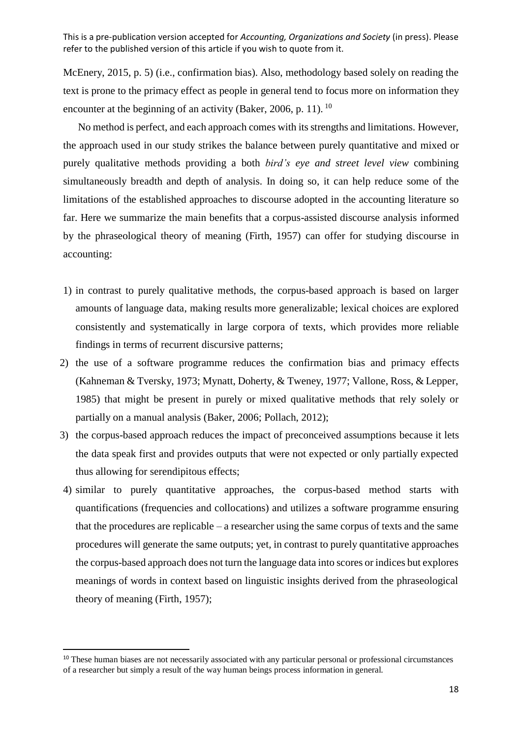McEnery, 2015, p. 5) (i.e., confirmation bias). Also, methodology based solely on reading the text is prone to the primacy effect as people in general tend to focus more on information they encounter at the beginning of an activity (Baker, 2006, p. 11).<sup>10</sup>

No method is perfect, and each approach comes with its strengths and limitations. However, the approach used in our study strikes the balance between purely quantitative and mixed or purely qualitative methods providing a both *bird's eye and street level view* combining simultaneously breadth and depth of analysis. In doing so, it can help reduce some of the limitations of the established approaches to discourse adopted in the accounting literature so far. Here we summarize the main benefits that a corpus-assisted discourse analysis informed by the phraseological theory of meaning (Firth, 1957) can offer for studying discourse in accounting:

- 1) in contrast to purely qualitative methods, the corpus-based approach is based on larger amounts of language data, making results more generalizable; lexical choices are explored consistently and systematically in large corpora of texts, which provides more reliable findings in terms of recurrent discursive patterns;
- 2) the use of a software programme reduces the confirmation bias and primacy effects (Kahneman & Tversky, 1973; Mynatt, Doherty, & Tweney, 1977; Vallone, Ross, & Lepper, 1985) that might be present in purely or mixed qualitative methods that rely solely or partially on a manual analysis (Baker, 2006; Pollach, 2012);
- 3) the corpus-based approach reduces the impact of preconceived assumptions because it lets the data speak first and provides outputs that were not expected or only partially expected thus allowing for serendipitous effects;
- 4) similar to purely quantitative approaches, the corpus-based method starts with quantifications (frequencies and collocations) and utilizes a software programme ensuring that the procedures are replicable – a researcher using the same corpus of texts and the same procedures will generate the same outputs; yet, in contrast to purely quantitative approaches the corpus-based approach does not turn the language data into scores or indices but explores meanings of words in context based on linguistic insights derived from the phraseological theory of meaning (Firth, 1957);

1

<sup>&</sup>lt;sup>10</sup> These human biases are not necessarily associated with any particular personal or professional circumstances of a researcher but simply a result of the way human beings process information in general.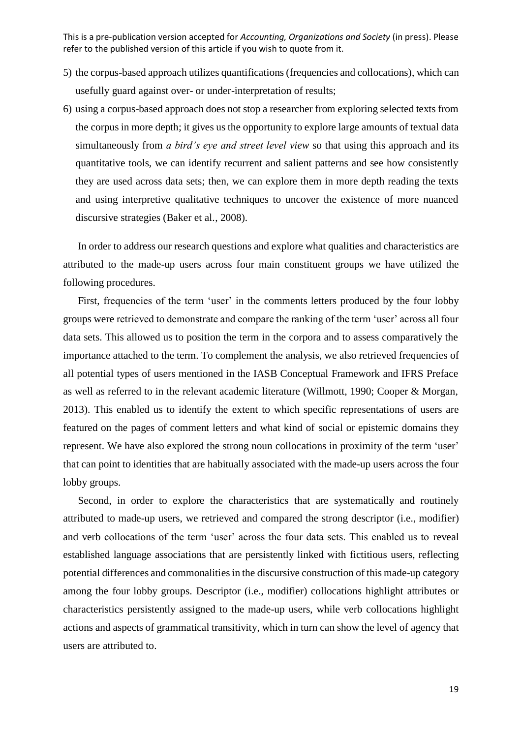- 5) the corpus-based approach utilizes quantifications (frequencies and collocations), which can usefully guard against over- or under-interpretation of results;
- 6) using a corpus-based approach does not stop a researcher from exploring selected texts from the corpus in more depth; it gives us the opportunity to explore large amounts of textual data simultaneously from *a bird's eye and street level view* so that using this approach and its quantitative tools, we can identify recurrent and salient patterns and see how consistently they are used across data sets; then, we can explore them in more depth reading the texts and using interpretive qualitative techniques to uncover the existence of more nuanced discursive strategies (Baker et al., 2008).

In order to address our research questions and explore what qualities and characteristics are attributed to the made-up users across four main constituent groups we have utilized the following procedures.

First, frequencies of the term 'user' in the comments letters produced by the four lobby groups were retrieved to demonstrate and compare the ranking of the term 'user' across all four data sets. This allowed us to position the term in the corpora and to assess comparatively the importance attached to the term. To complement the analysis, we also retrieved frequencies of all potential types of users mentioned in the IASB Conceptual Framework and IFRS Preface as well as referred to in the relevant academic literature (Willmott, 1990; Cooper & Morgan, 2013). This enabled us to identify the extent to which specific representations of users are featured on the pages of comment letters and what kind of social or epistemic domains they represent. We have also explored the strong noun collocations in proximity of the term 'user' that can point to identities that are habitually associated with the made-up users across the four lobby groups.

Second, in order to explore the characteristics that are systematically and routinely attributed to made-up users, we retrieved and compared the strong descriptor (i.e., modifier) and verb collocations of the term 'user' across the four data sets. This enabled us to reveal established language associations that are persistently linked with fictitious users, reflecting potential differences and commonalities in the discursive construction of this made-up category among the four lobby groups. Descriptor (i.e., modifier) collocations highlight attributes or characteristics persistently assigned to the made-up users, while verb collocations highlight actions and aspects of grammatical transitivity, which in turn can show the level of agency that users are attributed to.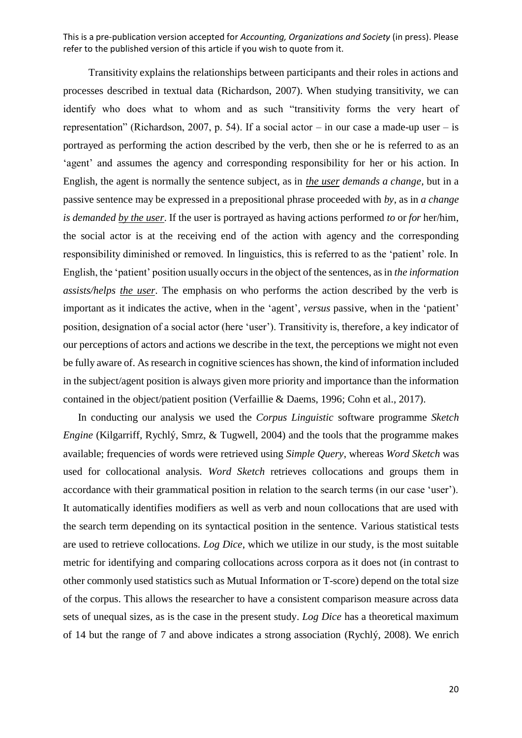Transitivity explains the relationships between participants and their roles in actions and processes described in textual data (Richardson, 2007). When studying transitivity, we can identify who does what to whom and as such "transitivity forms the very heart of representation" (Richardson, 2007, p. 54). If a social actor – in our case a made-up user – is portrayed as performing the action described by the verb, then she or he is referred to as an 'agent' and assumes the agency and corresponding responsibility for her or his action. In English, the agent is normally the sentence subject, as in *the user demands a change,* but in a passive sentence may be expressed in a prepositional phrase proceeded with *by*, as in *a change is demanded by the user*. If the user is portrayed as having actions performed *to* or *for* her/him, the social actor is at the receiving end of the action with agency and the corresponding responsibility diminished or removed. In linguistics, this is referred to as the 'patient' role. In English, the 'patient' position usually occurs in the object of the sentences, as in *the information assists/helps the user*. The emphasis on who performs the action described by the verb is important as it indicates the active, when in the 'agent', *versus* passive, when in the 'patient' position, designation of a social actor (here 'user'). Transitivity is, therefore, a key indicator of our perceptions of actors and actions we describe in the text, the perceptions we might not even be fully aware of. As research in cognitive sciences has shown, the kind of information included in the subject/agent position is always given more priority and importance than the information contained in the object/patient position (Verfaillie & Daems, 1996; Cohn et al., 2017).

In conducting our analysis we used the *Corpus Linguistic* software programme *Sketch Engine* (Kilgarriff, Rychlý, Smrz, & Tugwell, 2004) and the tools that the programme makes available; frequencies of words were retrieved using *Simple Query*, whereas *Word Sketch* was used for collocational analysis. *Word Sketch* retrieves collocations and groups them in accordance with their grammatical position in relation to the search terms (in our case 'user'). It automatically identifies modifiers as well as verb and noun collocations that are used with the search term depending on its syntactical position in the sentence. Various statistical tests are used to retrieve collocations. *Log Dice*, which we utilize in our study, is the most suitable metric for identifying and comparing collocations across corpora as it does not (in contrast to other commonly used statistics such as Mutual Information or T-score) depend on the total size of the corpus. This allows the researcher to have a consistent comparison measure across data sets of unequal sizes, as is the case in the present study. *Log Dice* has a theoretical maximum of 14 but the range of 7 and above indicates a strong association (Rychlý, 2008). We enrich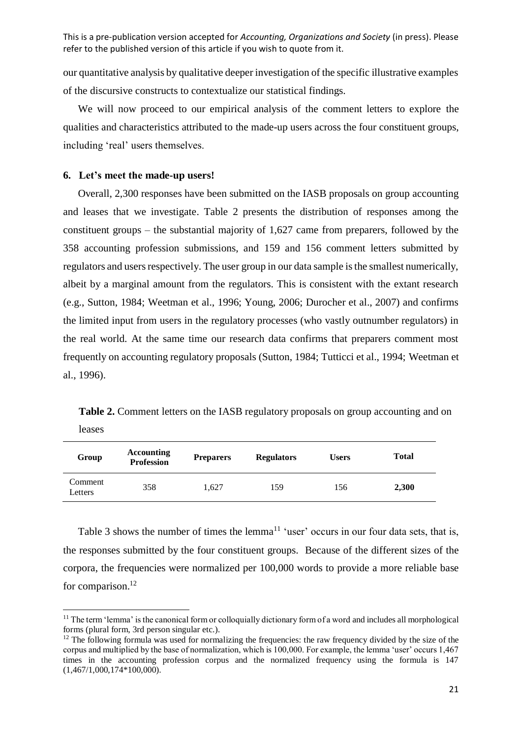our quantitative analysis by qualitative deeper investigation of the specific illustrative examples of the discursive constructs to contextualize our statistical findings.

We will now proceed to our empirical analysis of the comment letters to explore the qualities and characteristics attributed to the made-up users across the four constituent groups, including 'real' users themselves.

#### **6. Let's meet the made-up users!**

1

Overall, 2,300 responses have been submitted on the IASB proposals on group accounting and leases that we investigate. Table 2 presents the distribution of responses among the constituent groups – the substantial majority of  $1,627$  came from preparers, followed by the 358 accounting profession submissions, and 159 and 156 comment letters submitted by regulators and users respectively. The user group in our data sample is the smallest numerically, albeit by a marginal amount from the regulators. This is consistent with the extant research (e.g., Sutton, 1984; Weetman et al., 1996; Young, 2006; Durocher et al., 2007) and confirms the limited input from users in the regulatory processes (who vastly outnumber regulators) in the real world. At the same time our research data confirms that preparers comment most frequently on accounting regulatory proposals (Sutton, 1984; Tutticci et al., 1994; Weetman et al., 1996).

**Table 2.** Comment letters on the IASB regulatory proposals on group accounting and on leases

| Group              | <b>Accounting</b><br><b>Profession</b> | <b>Preparers</b> | <b>Regulators</b> | Users | Total |
|--------------------|----------------------------------------|------------------|-------------------|-------|-------|
| Comment<br>Letters | 358                                    | 1,627            | 159               | 156   | 2,300 |

Table 3 shows the number of times the lemma<sup>11</sup> 'user' occurs in our four data sets, that is, the responses submitted by the four constituent groups. Because of the different sizes of the corpora, the frequencies were normalized per 100,000 words to provide a more reliable base for comparison.<sup>12</sup>

<sup>&</sup>lt;sup>11</sup> The term 'lemma' is the canonical form or colloquially dictionary form of a word and includes all morphological forms (plural form, 3rd person singular etc.).

 $12$  The following formula was used for normalizing the frequencies: the raw frequency divided by the size of the corpus and multiplied by the base of normalization, which is 100,000. For example, the lemma 'user' occurs 1,467 times in the accounting profession corpus and the normalized frequency using the formula is 147 (1,467/1,000,174\*100,000).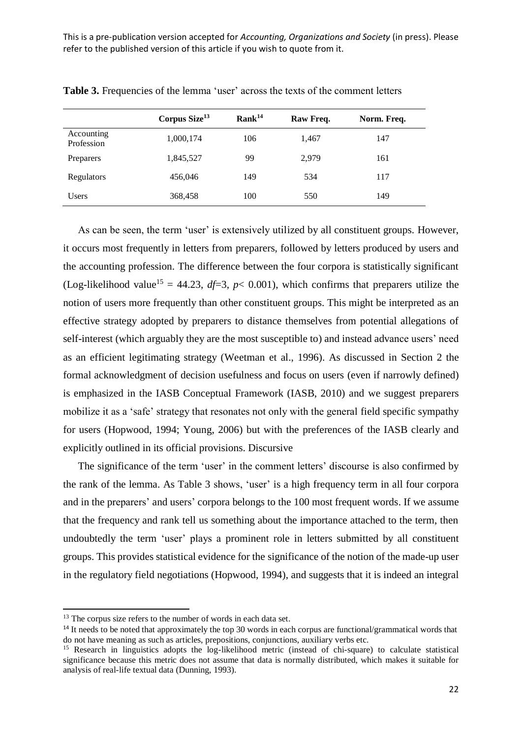|                          | Corpus Size <sup>13</sup> | $Rank^{14}$ | Raw Freq. | Norm. Freq. |
|--------------------------|---------------------------|-------------|-----------|-------------|
| Accounting<br>Profession | 1,000,174                 | 106         | 1,467     | 147         |
| Preparers                | 1,845,527                 | 99          | 2,979     | 161         |
| Regulators               | 456,046                   | 149         | 534       | 117         |
| <b>Users</b>             | 368,458                   | 100         | 550       | 149         |

**Table 3.** Frequencies of the lemma 'user' across the texts of the comment letters

As can be seen, the term 'user' is extensively utilized by all constituent groups. However, it occurs most frequently in letters from preparers, followed by letters produced by users and the accounting profession. The difference between the four corpora is statistically significant (Log-likelihood value<sup>15</sup> = 44.23,  $df=3$ ,  $p < 0.001$ ), which confirms that preparers utilize the notion of users more frequently than other constituent groups. This might be interpreted as an effective strategy adopted by preparers to distance themselves from potential allegations of self-interest (which arguably they are the most susceptible to) and instead advance users' need as an efficient legitimating strategy (Weetman et al., 1996). As discussed in Section 2 the formal acknowledgment of decision usefulness and focus on users (even if narrowly defined) is emphasized in the IASB Conceptual Framework (IASB, 2010) and we suggest preparers mobilize it as a 'safe' strategy that resonates not only with the general field specific sympathy for users (Hopwood, 1994; Young, 2006) but with the preferences of the IASB clearly and explicitly outlined in its official provisions. Discursive

The significance of the term 'user' in the comment letters' discourse is also confirmed by the rank of the lemma. As Table 3 shows, 'user' is a high frequency term in all four corpora and in the preparers' and users' corpora belongs to the 100 most frequent words. If we assume that the frequency and rank tell us something about the importance attached to the term, then undoubtedly the term 'user' plays a prominent role in letters submitted by all constituent groups. This provides statistical evidence for the significance of the notion of the made-up user in the regulatory field negotiations (Hopwood, 1994), and suggests that it is indeed an integral

1

<sup>&</sup>lt;sup>13</sup> The corpus size refers to the number of words in each data set.

<sup>&</sup>lt;sup>14</sup> It needs to be noted that approximately the top 30 words in each corpus are functional/grammatical words that do not have meaning as such as articles, prepositions, conjunctions, auxiliary verbs etc.

<sup>15</sup> Research in linguistics adopts the log-likelihood metric (instead of chi-square) to calculate statistical significance because this metric does not assume that data is normally distributed, which makes it suitable for analysis of real-life textual data (Dunning, 1993).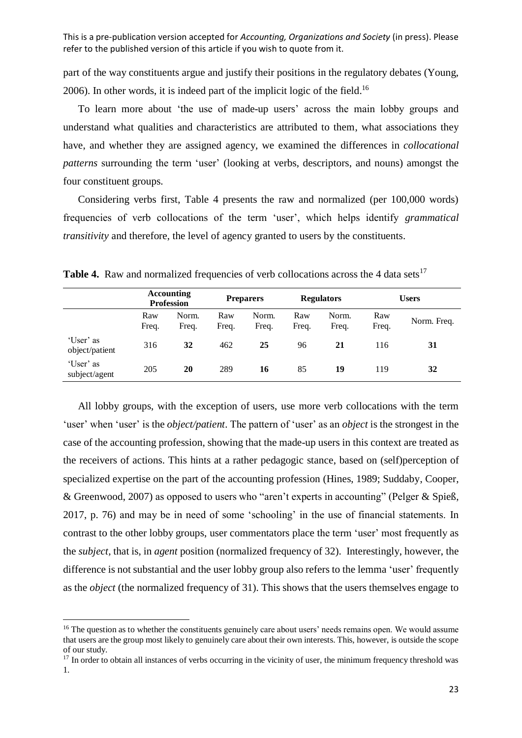part of the way constituents argue and justify their positions in the regulatory debates (Young, 2006). In other words, it is indeed part of the implicit logic of the field.<sup>16</sup>

To learn more about 'the use of made-up users' across the main lobby groups and understand what qualities and characteristics are attributed to them, what associations they have, and whether they are assigned agency, we examined the differences in *collocational patterns* surrounding the term 'user' (looking at verbs, descriptors, and nouns) amongst the four constituent groups.

Considering verbs first, Table 4 presents the raw and normalized (per 100,000 words) frequencies of verb collocations of the term 'user', which helps identify *grammatical transitivity* and therefore, the level of agency granted to users by the constituents.

|                             | <b>Accounting</b><br><b>Profession</b> |                | <b>Preparers</b> |                | <b>Regulators</b> |                | <b>Users</b> |             |
|-----------------------------|----------------------------------------|----------------|------------------|----------------|-------------------|----------------|--------------|-------------|
|                             | Raw<br>Freq.                           | Norm.<br>Freq. | Raw<br>Freq.     | Norm.<br>Freq. | Raw<br>Freq.      | Norm.<br>Freq. | Raw<br>Freq. | Norm. Freq. |
| 'User' as<br>object/patient | 316                                    | 32             | 462              | 25             | 96                | 21             | 116          | 31          |
| 'User' as<br>subject/agent  | 205                                    | 20             | 289              | 16             | 85                | 19             | 119          | 32          |

**Table 4.** Raw and normalized frequencies of verb collocations across the 4 data sets<sup>17</sup>

All lobby groups, with the exception of users, use more verb collocations with the term 'user' when 'user' is the *object/patient*. The pattern of 'user' as an *object* is the strongest in the case of the accounting profession, showing that the made-up users in this context are treated as the receivers of actions. This hints at a rather pedagogic stance, based on (self)perception of specialized expertise on the part of the accounting profession (Hines, 1989; Suddaby, Cooper, & Greenwood, 2007) as opposed to users who "aren't experts in accounting" (Pelger & Spieß, 2017, p. 76) and may be in need of some 'schooling' in the use of financial statements. In contrast to the other lobby groups, user commentators place the term 'user' most frequently as the *subject,* that is, in *agent* position (normalized frequency of 32). Interestingly, however, the difference is not substantial and the user lobby group also refers to the lemma 'user' frequently as the *object* (the normalized frequency of 31)*.* This shows that the users themselves engage to

1

<sup>&</sup>lt;sup>16</sup> The question as to whether the constituents genuinely care about users' needs remains open. We would assume that users are the group most likely to genuinely care about their own interests. This, however, is outside the scope of our study.

 $17$  In order to obtain all instances of verbs occurring in the vicinity of user, the minimum frequency threshold was 1.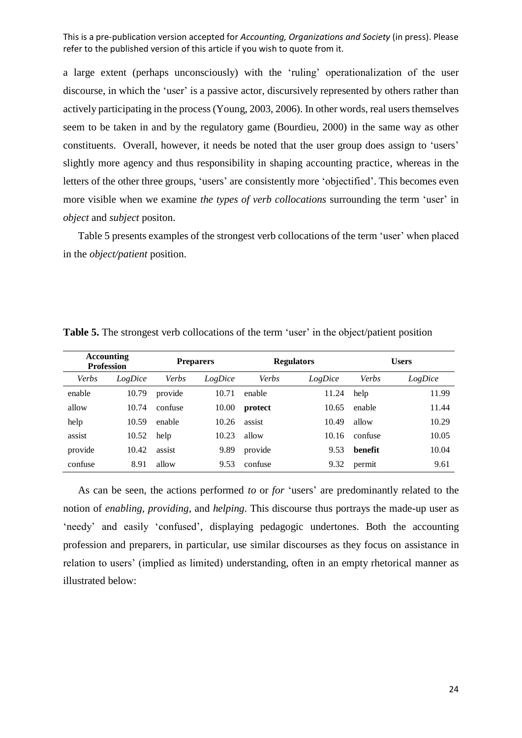a large extent (perhaps unconsciously) with the 'ruling' operationalization of the user discourse, in which the 'user' is a passive actor, discursively represented by others rather than actively participating in the process (Young, 2003, 2006). In other words, real users themselves seem to be taken in and by the regulatory game (Bourdieu, 2000) in the same way as other constituents. Overall, however, it needs be noted that the user group does assign to 'users' slightly more agency and thus responsibility in shaping accounting practice, whereas in the letters of the other three groups, 'users' are consistently more 'objectified'. This becomes even more visible when we examine *the types of verb collocations* surrounding the term 'user' in *object* and *subject* positon.

Table 5 presents examples of the strongest verb collocations of the term 'user' when placed in the *object/patient* position.

|         | <b>Accounting</b><br><b>Preparers</b><br><b>Profession</b> |              |         | <b>Regulators</b> |         |              | <b>Users</b> |  |
|---------|------------------------------------------------------------|--------------|---------|-------------------|---------|--------------|--------------|--|
| Verbs   | LogDice                                                    | <b>Verbs</b> | LogDice | Verbs             | LogDice | <b>Verbs</b> | LogDice      |  |
| enable  | 10.79                                                      | provide      | 10.71   | enable            | 11.24   | help         | 11.99        |  |
| allow   | 10.74                                                      | confuse      | 10.00   | protect           | 10.65   | enable       | 11.44        |  |
| help    | 10.59                                                      | enable       | 10.26   | assist            | 10.49   | allow        | 10.29        |  |
| assist  | 10.52                                                      | help         | 10.23   | allow             | 10.16   | confuse      | 10.05        |  |
| provide | 10.42                                                      | assist       | 9.89    | provide           | 9.53    | henefit      | 10.04        |  |
| confuse | 8.91                                                       | allow        | 9.53    | confuse           | 9.32    | permit       | 9.61         |  |

**Table 5.** The strongest verb collocations of the term 'user' in the object/patient position

As can be seen, the actions performed *to* or *for* 'users' are predominantly related to the notion of *enabling, providing,* and *helping*. This discourse thus portrays the made-up user as 'needy' and easily 'confused', displaying pedagogic undertones. Both the accounting profession and preparers, in particular, use similar discourses as they focus on assistance in relation to users' (implied as limited) understanding, often in an empty rhetorical manner as illustrated below: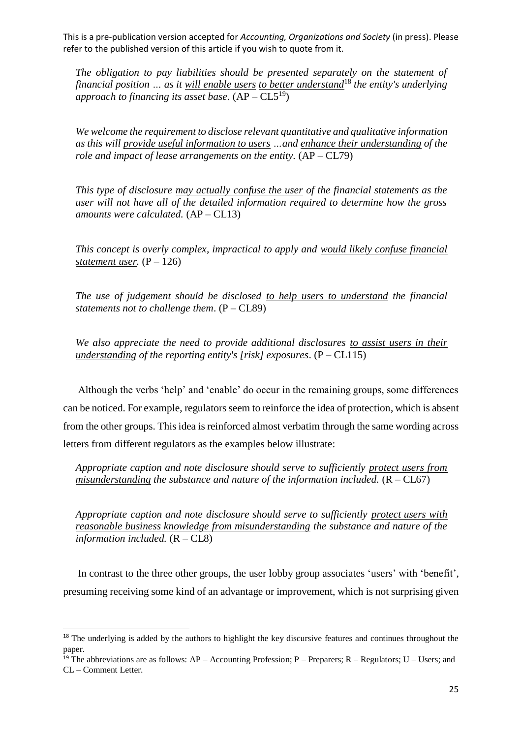*The obligation to pay liabilities should be presented separately on the statement of financial position … as it will enable users to better understand*<sup>18</sup> *the entity's underlying approach to financing its asset base.*  $(AP - CL5^{19})$ 

*We welcome the requirement to disclose relevant quantitative and qualitative information as this will provide useful information to users …and enhance their understanding of the role and impact of lease arrangements on the entity.*  $(AP - CL79)$ 

*This type of disclosure may actually confuse the user of the financial statements as the user will not have all of the detailed information required to determine how the gross amounts were calculated.* (AP – CL13)

*This concept is overly complex, impractical to apply and would likely confuse financial statement user.*  $(P - 126)$ 

*The use of judgement should be disclosed to help users to understand the financial statements not to challenge them*. (P – CL89)

*We also appreciate the need to provide additional disclosures to assist users in their understanding of the reporting entity's [risk] exposures*. (P – CL115)

Although the verbs 'help' and 'enable' do occur in the remaining groups, some differences can be noticed. For example, regulators seem to reinforce the idea of protection, which is absent from the other groups. This idea is reinforced almost verbatim through the same wording across letters from different regulators as the examples below illustrate:

*Appropriate caption and note disclosure should serve to sufficiently protect users from misunderstanding the substance and nature of the information included.*  $(R - CL67)$ 

*Appropriate caption and note disclosure should serve to sufficiently protect users with reasonable business knowledge from misunderstanding the substance and nature of the information included.*  $(R - CL8)$ 

In contrast to the three other groups, the user lobby group associates 'users' with 'benefit', presuming receiving some kind of an advantage or improvement, which is not surprising given

1

<sup>&</sup>lt;sup>18</sup> The underlying is added by the authors to highlight the key discursive features and continues throughout the paper.

<sup>&</sup>lt;sup>19</sup> The abbreviations are as follows:  $AP -$  Accounting Profession; P – Preparers; R – Regulators; U – Users; and CL – Comment Letter.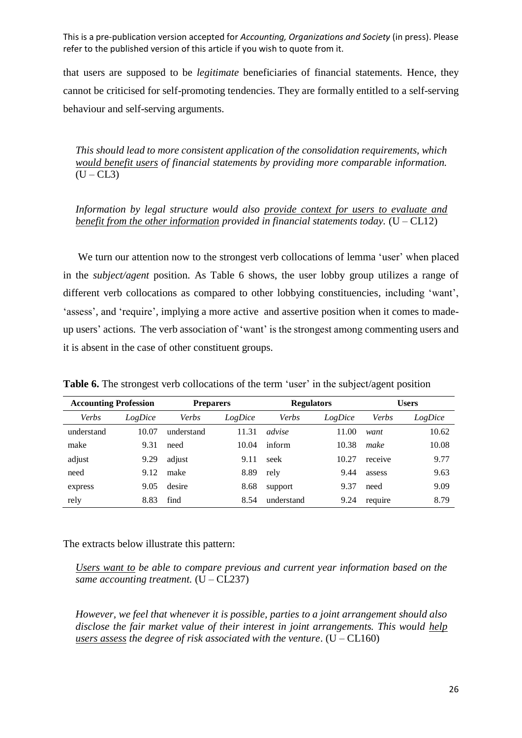that users are supposed to be *legitimate* beneficiaries of financial statements. Hence, they cannot be criticised for self-promoting tendencies. They are formally entitled to a self-serving behaviour and self-serving arguments.

*This should lead to more consistent application of the consolidation requirements, which would benefit users of financial statements by providing more comparable information.*  $(U - CL3)$ 

*Information by legal structure would also provide context for users to evaluate and benefit from the other information provided in financial statements today.*  $(U - CL12)$ 

We turn our attention now to the strongest verb collocations of lemma 'user' when placed in the *subject/agent* position. As Table 6 shows, the user lobby group utilizes a range of different verb collocations as compared to other lobbying constituencies, including 'want', 'assess', and 'require', implying a more active and assertive position when it comes to madeup users' actions. The verb association of 'want' is the strongest among commenting users and it is absent in the case of other constituent groups.

| <b>Accounting Profession</b> |         |            | <b>Preparers</b> |            | <b>Regulators</b> |         | Users   |  |
|------------------------------|---------|------------|------------------|------------|-------------------|---------|---------|--|
| Verbs                        | LogDice | Verbs      | LogDice          | Verbs      | LogDice           | Verbs   | LogDice |  |
| understand                   | 10.07   | understand | 11.31            | advise     | 11.00             | want    | 10.62   |  |
| make                         | 9.31    | need       | 10.04            | inform     | 10.38             | make    | 10.08   |  |
| adjust                       | 9.29    | adjust     | 9.11             | seek       | 10.27             | receive | 9.77    |  |
| need                         | 9.12    | make       | 8.89             | rely       | 9.44              | assess  | 9.63    |  |
| express                      | 9.05    | desire     | 8.68             | support    | 9.37              | need    | 9.09    |  |
| rely                         | 8.83    | find       | 8.54             | understand | 9.24              | require | 8.79    |  |

**Table 6.** The strongest verb collocations of the term 'user' in the subject/agent position

The extracts below illustrate this pattern:

*Users want to be able to compare previous and current year information based on the same accounting treatment.* (U – CL237)

*However, we feel that whenever it is possible, parties to a joint arrangement should also disclose the fair market value of their interest in joint arrangements. This would help users assess the degree of risk associated with the venture*. (U – CL160)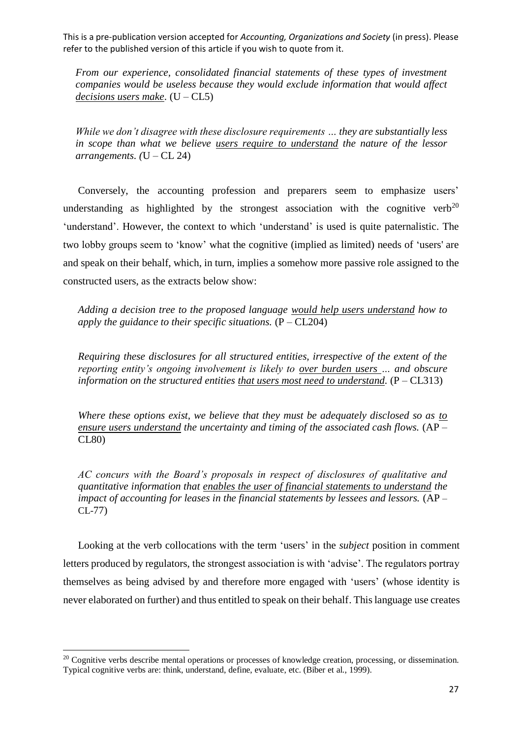*From our experience, consolidated financial statements of these types of investment companies would be useless because they would exclude information that would affect*   $decisions$  users make.  $(U - CL5)$ 

*While we don't disagree with these disclosure requirements … they are substantially less in scope than what we believe users require to understand the nature of the lessor*   $arrangements. (U - CL 24)$ 

Conversely, the accounting profession and preparers seem to emphasize users' understanding as highlighted by the strongest association with the cognitive verb<sup>20</sup> 'understand'. However, the context to which 'understand' is used is quite paternalistic. The two lobby groups seem to 'know' what the cognitive (implied as limited) needs of 'users' are and speak on their behalf, which, in turn, implies a somehow more passive role assigned to the constructed users, as the extracts below show:

*Adding a decision tree to the proposed language would help users understand how to apply the guidance to their specific situations.*  $(P - CL204)$ 

*Requiring these disclosures for all structured entities, irrespective of the extent of the reporting entity's ongoing involvement is likely to over burden users … and obscure information on the structured entities that users most need to understand.*  $(P - CL313)$ 

*Where these options exist, we believe that they must be adequately disclosed so as to ensure users understand the uncertainty and timing of the associated cash flows.* (AP – CL80)

*AC concurs with the Board's proposals in respect of disclosures of qualitative and quantitative information that enables the user of financial statements to understand the impact of accounting for leases in the financial statements by lessees and lessors.* (AP – CL-77)

Looking at the verb collocations with the term 'users' in the *subject* position in comment letters produced by regulators, the strongest association is with 'advise'. The regulators portray themselves as being advised by and therefore more engaged with 'users' (whose identity is never elaborated on further) and thus entitled to speak on their behalf. This language use creates

1

<sup>&</sup>lt;sup>20</sup> Cognitive verbs describe mental operations or processes of knowledge creation, processing, or dissemination. Typical cognitive verbs are: think, understand, define, evaluate, etc. (Biber et al., 1999).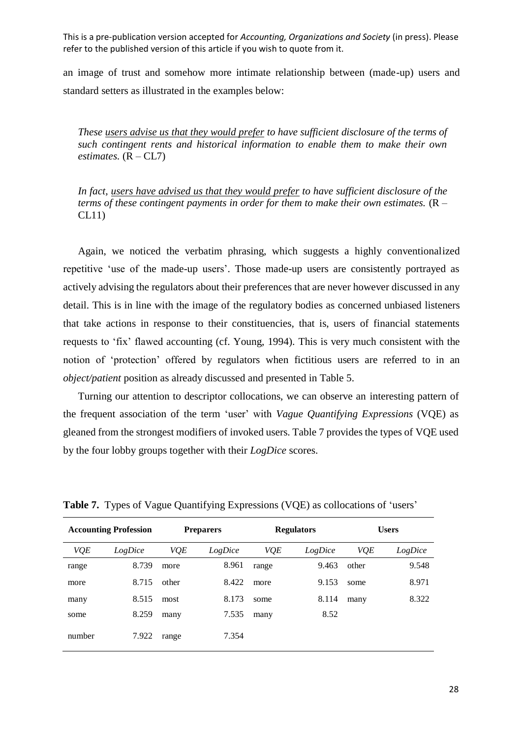an image of trust and somehow more intimate relationship between (made-up) users and standard setters as illustrated in the examples below:

*These users advise us that they would prefer to have sufficient disclosure of the terms of such contingent rents and historical information to enable them to make their own estimates.*  $(R - CL7)$ 

*In fact, users have advised us that they would prefer to have sufficient disclosure of the terms of these contingent payments in order for them to make their own estimates.* (R – CL11)

Again, we noticed the verbatim phrasing, which suggests a highly conventionalized repetitive 'use of the made-up users'. Those made-up users are consistently portrayed as actively advising the regulators about their preferences that are never however discussed in any detail. This is in line with the image of the regulatory bodies as concerned unbiased listeners that take actions in response to their constituencies, that is, users of financial statements requests to 'fix' flawed accounting (cf. Young, 1994). This is very much consistent with the notion of 'protection' offered by regulators when fictitious users are referred to in an *object/patient* position as already discussed and presented in Table 5.

Turning our attention to descriptor collocations, we can observe an interesting pattern of the frequent association of the term 'user' with *Vague Quantifying Expressions* (VQE) as gleaned from the strongest modifiers of invoked users. Table 7 provides the types of VQE used by the four lobby groups together with their *LogDice* scores.

| <b>Accounting Profession</b> |         | <b>Preparers</b> |         |            | <b>Regulators</b> | <b>Users</b> |         |  |
|------------------------------|---------|------------------|---------|------------|-------------------|--------------|---------|--|
| VQE                          | LogDice | <b>VQE</b>       | LogDice | <b>VQE</b> | LogDice           | <b>VQE</b>   | LogDice |  |
| range                        | 8.739   | more             | 8.961   | range      | 9.463             | other        | 9.548   |  |
| more                         | 8.715   | other            | 8.422   | more       | 9.153             | some         | 8.971   |  |
| many                         | 8.515   | most             | 8.173   | some       | 8.114             | many         | 8.322   |  |
| some                         | 8.259   | many             | 7.535   | many       | 8.52              |              |         |  |
| number                       | 7.922   | range            | 7.354   |            |                   |              |         |  |

**Table 7.** Types of Vague Quantifying Expressions (VQE) as collocations of 'users'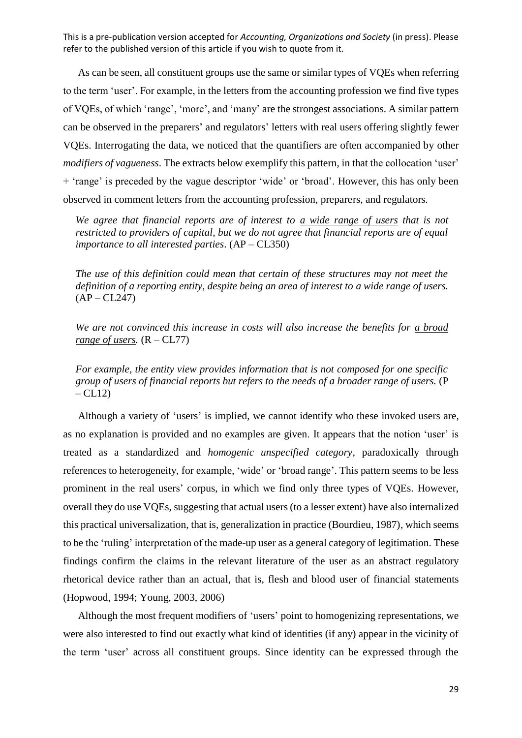As can be seen, all constituent groups use the same or similar types of VQEs when referring to the term 'user'. For example, in the letters from the accounting profession we find five types of VQEs, of which 'range', 'more', and 'many' are the strongest associations. A similar pattern can be observed in the preparers' and regulators' letters with real users offering slightly fewer VQEs. Interrogating the data, we noticed that the quantifiers are often accompanied by other *modifiers of vagueness*. The extracts below exemplify this pattern, in that the collocation 'user' + 'range' is preceded by the vague descriptor 'wide' or 'broad'. However, this has only been observed in comment letters from the accounting profession, preparers, and regulators.

*We agree that financial reports are of interest to a wide range of users that is not restricted to providers of capital, but we do not agree that financial reports are of equal importance to all interested parties*. (AP – CL350)

*The use of this definition could mean that certain of these structures may not meet the definition of a reporting entity, despite being an area of interest to a wide range of users.*  $(AP - CL247)$ 

*We are not convinced this increase in costs will also increase the benefits for a broad range of users.*  $(R - CL77)$ 

*For example, the entity view provides information that is not composed for one specific group of users of financial reports but refers to the needs of a broader range of users.* (P  $-CL12$ 

Although a variety of 'users' is implied, we cannot identify who these invoked users are, as no explanation is provided and no examples are given. It appears that the notion 'user' is treated as a standardized and *homogenic unspecified category*, paradoxically through references to heterogeneity, for example, 'wide' or 'broad range'. This pattern seems to be less prominent in the real users' corpus, in which we find only three types of VQEs. However, overall they do use VQEs, suggesting that actual users (to a lesser extent) have also internalized this practical universalization, that is, generalization in practice (Bourdieu, 1987), which seems to be the 'ruling' interpretation of the made-up user as a general category of legitimation. These findings confirm the claims in the relevant literature of the user as an abstract regulatory rhetorical device rather than an actual, that is, flesh and blood user of financial statements (Hopwood, 1994; Young, 2003, 2006)

Although the most frequent modifiers of 'users' point to homogenizing representations, we were also interested to find out exactly what kind of identities (if any) appear in the vicinity of the term 'user' across all constituent groups. Since identity can be expressed through the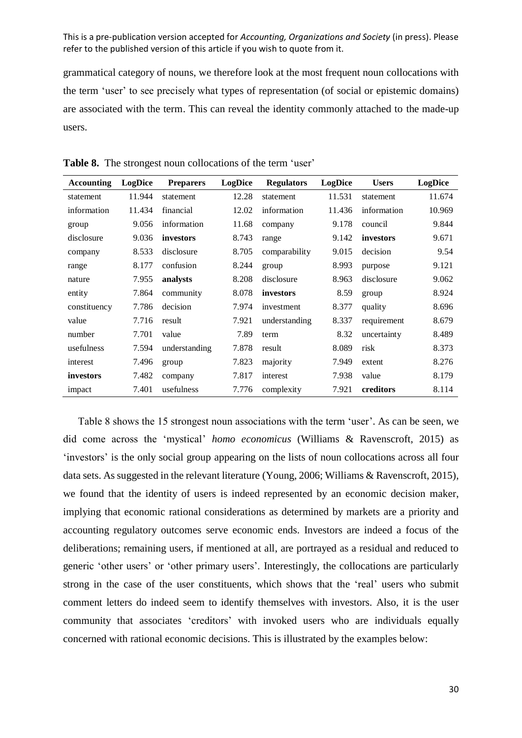grammatical category of nouns, we therefore look at the most frequent noun collocations with the term 'user' to see precisely what types of representation (of social or epistemic domains) are associated with the term. This can reveal the identity commonly attached to the made-up users.

| <b>Accounting</b> | LogDice | <b>Preparers</b> | <b>LogDice</b> | <b>Regulators</b> | <b>LogDice</b> | <b>Users</b> | <b>LogDice</b> |
|-------------------|---------|------------------|----------------|-------------------|----------------|--------------|----------------|
| statement         | 11.944  | statement        | 12.28          | statement         | 11.531         | statement    | 11.674         |
| information       | 11.434  | financial        | 12.02          | information       | 11.436         | information  | 10.969         |
| group             | 9.056   | information      | 11.68          | company           | 9.178          | council      | 9.844          |
| disclosure        | 9.036   | investors        | 8.743          | range             | 9.142          | investors    | 9.671          |
| company           | 8.533   | disclosure       | 8.705          | comparability     | 9.015          | decision     | 9.54           |
| range             | 8.177   | confusion        | 8.244          | group             | 8.993          | purpose      | 9.121          |
| nature            | 7.955   | analysts         | 8.208          | disclosure        | 8.963          | disclosure   | 9.062          |
| entity            | 7.864   | community        | 8.078          | investors         | 8.59           | group        | 8.924          |
| constituency      | 7.786   | decision         | 7.974          | investment        | 8.377          | quality      | 8.696          |
| value             | 7.716   | result           | 7.921          | understanding     | 8.337          | requirement  | 8.679          |
| number            | 7.701   | value            | 7.89           | term              | 8.32           | uncertainty  | 8.489          |
| usefulness        | 7.594   | understanding    | 7.878          | result            | 8.089          | risk         | 8.373          |
| interest          | 7.496   | group            | 7.823          | majority          | 7.949          | extent       | 8.276          |
| investors         | 7.482   | company          | 7.817          | interest          | 7.938          | value        | 8.179          |
| impact            | 7.401   | usefulness       | 7.776          | complexity        | 7.921          | creditors    | 8.114          |

**Table 8.** The strongest noun collocations of the term 'user'

Table 8 shows the 15 strongest noun associations with the term 'user'. As can be seen, we did come across the 'mystical' *homo economicus* (Williams & Ravenscroft, 2015) as 'investors' is the only social group appearing on the lists of noun collocations across all four data sets. As suggested in the relevant literature (Young, 2006; Williams & Ravenscroft, 2015), we found that the identity of users is indeed represented by an economic decision maker, implying that economic rational considerations as determined by markets are a priority and accounting regulatory outcomes serve economic ends. Investors are indeed a focus of the deliberations; remaining users, if mentioned at all, are portrayed as a residual and reduced to generic 'other users' or 'other primary users'. Interestingly, the collocations are particularly strong in the case of the user constituents, which shows that the 'real' users who submit comment letters do indeed seem to identify themselves with investors. Also, it is the user community that associates 'creditors' with invoked users who are individuals equally concerned with rational economic decisions. This is illustrated by the examples below: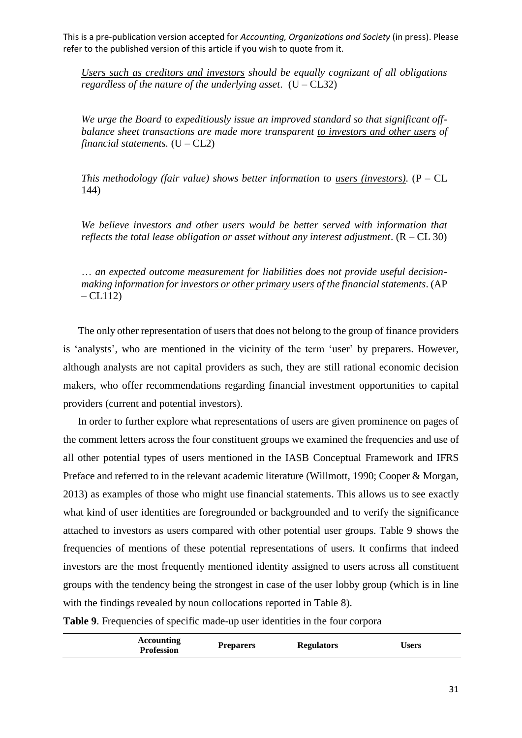*Users such as creditors and investors should be equally cognizant of all obligations regardless of the nature of the underlying asset.*  $(U - CL32)$ 

*We urge the Board to expeditiously issue an improved standard so that significant offbalance sheet transactions are made more transparent to investors and other users of financial statements.*  $(U - CL2)$ 

*This methodology (fair value) shows better information to users (investors).*  $(P - CL)$ 144)

*We believe investors and other users would be better served with information that reflects the total lease obligation or asset without any interest adjustment*. (R – CL 30)

… *an expected outcome measurement for liabilities does not provide useful decisionmaking information for investors or other primary users of the financial statements*. (AP  $-CL112$ 

The only other representation of users that does not belong to the group of finance providers is 'analysts', who are mentioned in the vicinity of the term 'user' by preparers. However, although analysts are not capital providers as such, they are still rational economic decision makers, who offer recommendations regarding financial investment opportunities to capital providers (current and potential investors).

In order to further explore what representations of users are given prominence on pages of the comment letters across the four constituent groups we examined the frequencies and use of all other potential types of users mentioned in the IASB Conceptual Framework and IFRS Preface and referred to in the relevant academic literature (Willmott, 1990; Cooper & Morgan, 2013) as examples of those who might use financial statements. This allows us to see exactly what kind of user identities are foregrounded or backgrounded and to verify the significance attached to investors as users compared with other potential user groups. Table 9 shows the frequencies of mentions of these potential representations of users. It confirms that indeed investors are the most frequently mentioned identity assigned to users across all constituent groups with the tendency being the strongest in case of the user lobby group (which is in line with the findings revealed by noun collocations reported in Table 8).

**Table 9**. Frequencies of specific made-up user identities in the four corpora

|--|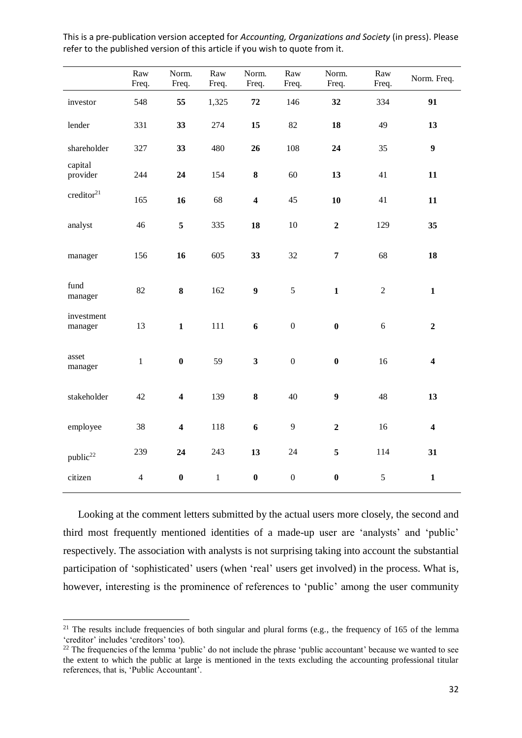|                        | Raw<br>Freq.   | Norm.<br>Freq.          | Raw<br>Freq. | Norm.<br>Freq.          | Raw<br>Freq.     | Norm.<br>Freq.   | Raw<br>Freq.   | Norm. Freq.             |
|------------------------|----------------|-------------------------|--------------|-------------------------|------------------|------------------|----------------|-------------------------|
| investor               | 548            | 55                      | 1,325        | 72                      | 146              | 32               | 334            | 91                      |
| lender                 | 331            | 33                      | 274          | 15                      | 82               | 18               | 49             | 13                      |
| shareholder            | 327            | 33                      | 480          | 26                      | 108              | 24               | 35             | $\boldsymbol{9}$        |
| capital<br>provider    | 244            | 24                      | 154          | $\bf 8$                 | 60               | 13               | 41             | 11                      |
| creditor <sup>21</sup> | 165            | 16                      | 68           | $\overline{\mathbf{4}}$ | $45\,$           | 10               | 41             | 11                      |
| analyst                | 46             | 5                       | 335          | 18                      | $10\,$           | $\boldsymbol{2}$ | 129            | 35                      |
| manager                | 156            | 16                      | 605          | 33                      | 32               | $\pmb{7}$        | 68             | 18                      |
| fund<br>manager        | 82             | 8                       | 162          | $\boldsymbol{9}$        | 5                | $\mathbf{1}$     | $\overline{c}$ | $\mathbf{1}$            |
| investment<br>manager  | 13             | $\mathbf{1}$            | 111          | $\boldsymbol{6}$        | $\boldsymbol{0}$ | $\bf{0}$         | $\sqrt{6}$     | $\overline{2}$          |
| asset<br>manager       | $\,1\,$        | $\bf{0}$                | 59           | $\mathbf{3}$            | $\boldsymbol{0}$ | $\bf{0}$         | 16             | $\overline{\mathbf{4}}$ |
| stakeholder            | 42             | $\overline{\mathbf{4}}$ | 139          | $\bf 8$                 | 40               | $\boldsymbol{9}$ | 48             | 13                      |
| employee               | 38             | $\overline{\mathbf{4}}$ | 118          | $\boldsymbol{6}$        | $\mathbf{9}$     | $\boldsymbol{2}$ | 16             | $\overline{\mathbf{4}}$ |
| public <sup>22</sup>   | 239            | 24                      | 243          | 13                      | 24               | $\sqrt{5}$       | 114            | 31                      |
| citizen                | $\overline{4}$ | $\boldsymbol{0}$        | $\mathbf 1$  | $\boldsymbol{0}$        | $\boldsymbol{0}$ | $\boldsymbol{0}$ | 5              | $\mathbf{1}$            |

Looking at the comment letters submitted by the actual users more closely, the second and third most frequently mentioned identities of a made-up user are 'analysts' and 'public' respectively. The association with analysts is not surprising taking into account the substantial participation of 'sophisticated' users (when 'real' users get involved) in the process. What is, however, interesting is the prominence of references to 'public' among the user community

1

<sup>&</sup>lt;sup>21</sup> The results include frequencies of both singular and plural forms (e.g., the frequency of 165 of the lemma 'creditor' includes 'creditors' too).

<sup>&</sup>lt;sup>22</sup> The frequencies of the lemma 'public' do not include the phrase 'public accountant' because we wanted to see the extent to which the public at large is mentioned in the texts excluding the accounting professional titular references, that is, 'Public Accountant'.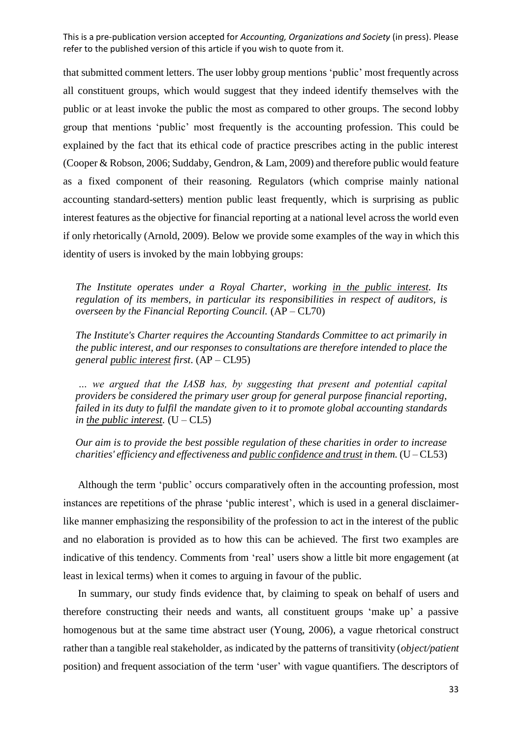that submitted comment letters. The user lobby group mentions 'public' most frequently across all constituent groups, which would suggest that they indeed identify themselves with the public or at least invoke the public the most as compared to other groups. The second lobby group that mentions 'public' most frequently is the accounting profession. This could be explained by the fact that its ethical code of practice prescribes acting in the public interest (Cooper & Robson, 2006; Suddaby, Gendron, & Lam, 2009) and therefore public would feature as a fixed component of their reasoning. Regulators (which comprise mainly national accounting standard-setters) mention public least frequently, which is surprising as public interest features as the objective for financial reporting at a national level across the world even if only rhetorically (Arnold, 2009). Below we provide some examples of the way in which this identity of users is invoked by the main lobbying groups:

*The Institute operates under a Royal Charter, working in the public interest. Its regulation of its members, in particular its responsibilities in respect of auditors, is overseen by the Financial Reporting Council.* (AP – CL70)

*The Institute's Charter requires the Accounting Standards Committee to act primarily in the public interest, and our responses to consultations are therefore intended to place the general public interest first*. (AP – CL95)

*… we argued that the IASB has, by suggesting that present and potential capital providers be considered the primary user group for general purpose financial reporting, failed in its duty to fulfil the mandate given to it to promote global accounting standards in the public interest.*  $(U - CL5)$ 

*Our aim is to provide the best possible regulation of these charities in order to increase charities' efficiency and effectiveness and public confidence and trust in them.* (U – CL53)

Although the term 'public' occurs comparatively often in the accounting profession, most instances are repetitions of the phrase 'public interest', which is used in a general disclaimerlike manner emphasizing the responsibility of the profession to act in the interest of the public and no elaboration is provided as to how this can be achieved. The first two examples are indicative of this tendency. Comments from 'real' users show a little bit more engagement (at least in lexical terms) when it comes to arguing in favour of the public.

In summary, our study finds evidence that, by claiming to speak on behalf of users and therefore constructing their needs and wants, all constituent groups 'make up' a passive homogenous but at the same time abstract user (Young, 2006), a vague rhetorical construct rather than a tangible real stakeholder, as indicated by the patterns of transitivity (*object/patient* position) and frequent association of the term 'user' with vague quantifiers. The descriptors of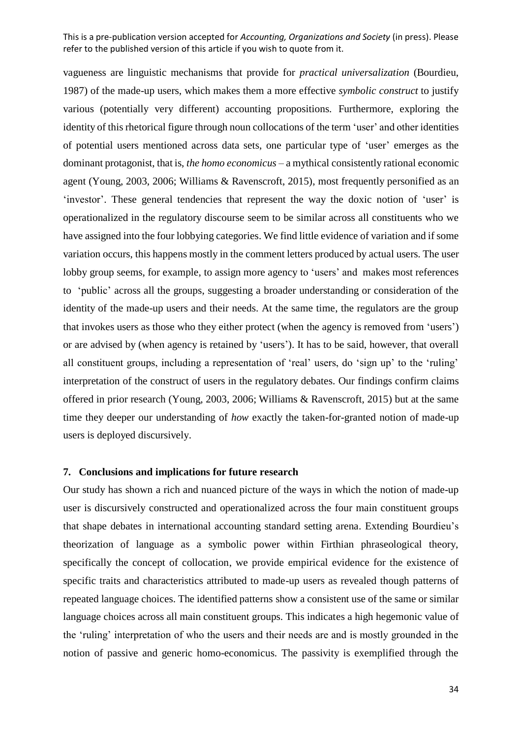vagueness are linguistic mechanisms that provide for *practical universalization* (Bourdieu, 1987) of the made-up users, which makes them a more effective *symbolic construct* to justify various (potentially very different) accounting propositions. Furthermore, exploring the identity of this rhetorical figure through noun collocations of the term 'user' and other identities of potential users mentioned across data sets, one particular type of 'user' emerges as the dominant protagonist, that is, *the homo economicus* – a mythical consistently rational economic agent (Young, 2003, 2006; Williams & Ravenscroft, 2015), most frequently personified as an 'investor'. These general tendencies that represent the way the doxic notion of 'user' is operationalized in the regulatory discourse seem to be similar across all constituents who we have assigned into the four lobbying categories. We find little evidence of variation and if some variation occurs, this happens mostly in the comment letters produced by actual users. The user lobby group seems, for example, to assign more agency to 'users' and makes most references to 'public' across all the groups, suggesting a broader understanding or consideration of the identity of the made-up users and their needs. At the same time, the regulators are the group that invokes users as those who they either protect (when the agency is removed from 'users') or are advised by (when agency is retained by 'users'). It has to be said, however, that overall all constituent groups, including a representation of 'real' users, do 'sign up' to the 'ruling' interpretation of the construct of users in the regulatory debates. Our findings confirm claims offered in prior research (Young, 2003, 2006; Williams & Ravenscroft, 2015) but at the same time they deeper our understanding of *how* exactly the taken-for-granted notion of made-up users is deployed discursively.

#### **7. Conclusions and implications for future research**

Our study has shown a rich and nuanced picture of the ways in which the notion of made-up user is discursively constructed and operationalized across the four main constituent groups that shape debates in international accounting standard setting arena. Extending Bourdieu's theorization of language as a symbolic power within Firthian phraseological theory, specifically the concept of collocation, we provide empirical evidence for the existence of specific traits and characteristics attributed to made-up users as revealed though patterns of repeated language choices. The identified patterns show a consistent use of the same or similar language choices across all main constituent groups. This indicates a high hegemonic value of the 'ruling' interpretation of who the users and their needs are and is mostly grounded in the notion of passive and generic homo-economicus. The passivity is exemplified through the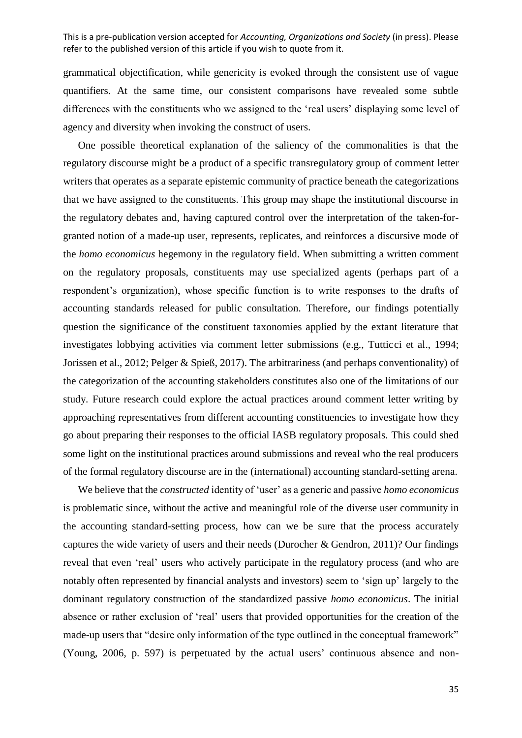grammatical objectification, while genericity is evoked through the consistent use of vague quantifiers. At the same time, our consistent comparisons have revealed some subtle differences with the constituents who we assigned to the 'real users' displaying some level of agency and diversity when invoking the construct of users.

One possible theoretical explanation of the saliency of the commonalities is that the regulatory discourse might be a product of a specific transregulatory group of comment letter writers that operates as a separate epistemic community of practice beneath the categorizations that we have assigned to the constituents. This group may shape the institutional discourse in the regulatory debates and, having captured control over the interpretation of the taken-forgranted notion of a made-up user, represents, replicates, and reinforces a discursive mode of the *homo economicus* hegemony in the regulatory field. When submitting a written comment on the regulatory proposals, constituents may use specialized agents (perhaps part of a respondent's organization), whose specific function is to write responses to the drafts of accounting standards released for public consultation. Therefore, our findings potentially question the significance of the constituent taxonomies applied by the extant literature that investigates lobbying activities via comment letter submissions (e.g., Tutticci et al., 1994; Jorissen et al., 2012; Pelger & Spieß, 2017). The arbitrariness (and perhaps conventionality) of the categorization of the accounting stakeholders constitutes also one of the limitations of our study. Future research could explore the actual practices around comment letter writing by approaching representatives from different accounting constituencies to investigate how they go about preparing their responses to the official IASB regulatory proposals. This could shed some light on the institutional practices around submissions and reveal who the real producers of the formal regulatory discourse are in the (international) accounting standard-setting arena.

We believe that the *constructed* identity of 'user' as a generic and passive *homo economicus* is problematic since, without the active and meaningful role of the diverse user community in the accounting standard-setting process, how can we be sure that the process accurately captures the wide variety of users and their needs (Durocher & Gendron, 2011)? Our findings reveal that even 'real' users who actively participate in the regulatory process (and who are notably often represented by financial analysts and investors) seem to 'sign up' largely to the dominant regulatory construction of the standardized passive *homo economicus*. The initial absence or rather exclusion of 'real' users that provided opportunities for the creation of the made-up users that "desire only information of the type outlined in the conceptual framework" (Young, 2006, p. 597) is perpetuated by the actual users' continuous absence and non-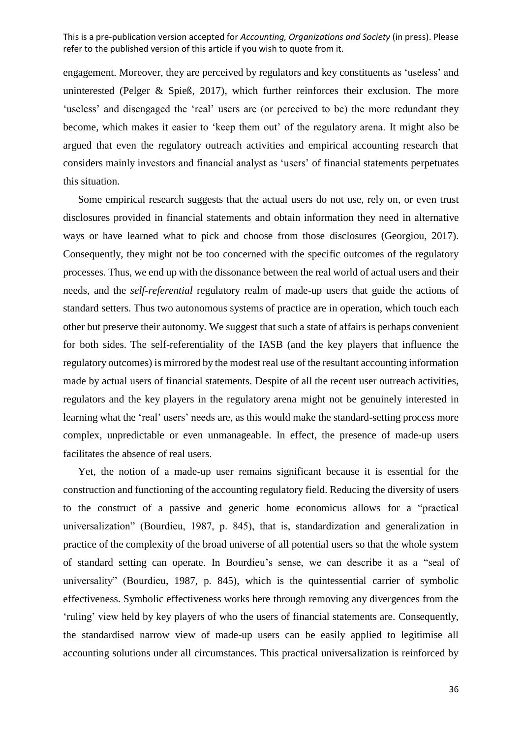engagement. Moreover, they are perceived by regulators and key constituents as 'useless' and uninterested (Pelger & Spieß, 2017), which further reinforces their exclusion. The more 'useless' and disengaged the 'real' users are (or perceived to be) the more redundant they become, which makes it easier to 'keep them out' of the regulatory arena. It might also be argued that even the regulatory outreach activities and empirical accounting research that considers mainly investors and financial analyst as 'users' of financial statements perpetuates this situation.

Some empirical research suggests that the actual users do not use, rely on, or even trust disclosures provided in financial statements and obtain information they need in alternative ways or have learned what to pick and choose from those disclosures (Georgiou, 2017). Consequently, they might not be too concerned with the specific outcomes of the regulatory processes. Thus, we end up with the dissonance between the real world of actual users and their needs, and the *self-referential* regulatory realm of made-up users that guide the actions of standard setters. Thus two autonomous systems of practice are in operation, which touch each other but preserve their autonomy. We suggest that such a state of affairs is perhaps convenient for both sides. The self-referentiality of the IASB (and the key players that influence the regulatory outcomes) is mirrored by the modest real use of the resultant accounting information made by actual users of financial statements. Despite of all the recent user outreach activities, regulators and the key players in the regulatory arena might not be genuinely interested in learning what the 'real' users' needs are, as this would make the standard-setting process more complex, unpredictable or even unmanageable. In effect, the presence of made-up users facilitates the absence of real users.

Yet, the notion of a made-up user remains significant because it is essential for the construction and functioning of the accounting regulatory field. Reducing the diversity of users to the construct of a passive and generic home economicus allows for a "practical universalization" (Bourdieu, 1987, p. 845), that is, standardization and generalization in practice of the complexity of the broad universe of all potential users so that the whole system of standard setting can operate. In Bourdieu's sense, we can describe it as a "seal of universality" (Bourdieu, 1987, p. 845), which is the quintessential carrier of symbolic effectiveness. Symbolic effectiveness works here through removing any divergences from the 'ruling' view held by key players of who the users of financial statements are. Consequently, the standardised narrow view of made-up users can be easily applied to legitimise all accounting solutions under all circumstances. This practical universalization is reinforced by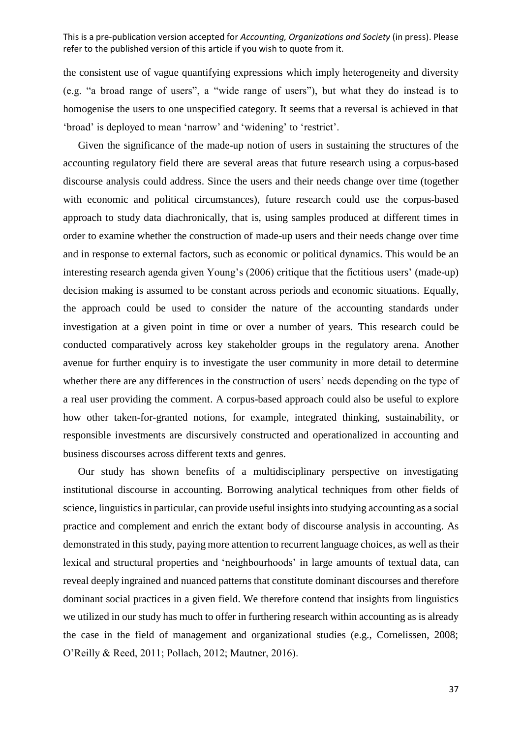the consistent use of vague quantifying expressions which imply heterogeneity and diversity (e.g. "a broad range of users", a "wide range of users"), but what they do instead is to homogenise the users to one unspecified category. It seems that a reversal is achieved in that 'broad' is deployed to mean 'narrow' and 'widening' to 'restrict'.

Given the significance of the made-up notion of users in sustaining the structures of the accounting regulatory field there are several areas that future research using a corpus-based discourse analysis could address. Since the users and their needs change over time (together with economic and political circumstances), future research could use the corpus-based approach to study data diachronically, that is, using samples produced at different times in order to examine whether the construction of made-up users and their needs change over time and in response to external factors, such as economic or political dynamics. This would be an interesting research agenda given Young's (2006) critique that the fictitious users' (made-up) decision making is assumed to be constant across periods and economic situations. Equally, the approach could be used to consider the nature of the accounting standards under investigation at a given point in time or over a number of years. This research could be conducted comparatively across key stakeholder groups in the regulatory arena. Another avenue for further enquiry is to investigate the user community in more detail to determine whether there are any differences in the construction of users' needs depending on the type of a real user providing the comment. A corpus-based approach could also be useful to explore how other taken-for-granted notions, for example, integrated thinking, sustainability, or responsible investments are discursively constructed and operationalized in accounting and business discourses across different texts and genres.

Our study has shown benefits of a multidisciplinary perspective on investigating institutional discourse in accounting. Borrowing analytical techniques from other fields of science, linguistics in particular, can provide useful insights into studying accounting as a social practice and complement and enrich the extant body of discourse analysis in accounting. As demonstrated in this study, paying more attention to recurrent language choices, as well as their lexical and structural properties and 'neighbourhoods' in large amounts of textual data, can reveal deeply ingrained and nuanced patterns that constitute dominant discourses and therefore dominant social practices in a given field. We therefore contend that insights from linguistics we utilized in our study has much to offer in furthering research within accounting as is already the case in the field of management and organizational studies (e.g., Cornelissen, 2008; O'Reilly & Reed, 2011; Pollach, 2012; Mautner, 2016).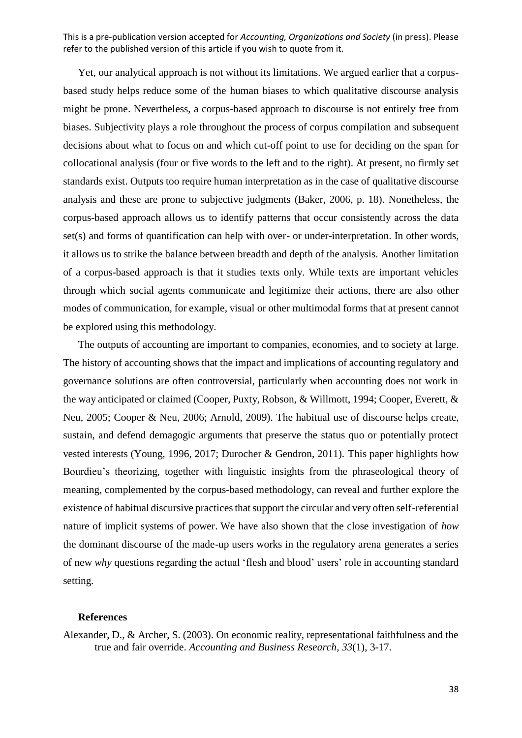Yet, our analytical approach is not without its limitations. We argued earlier that a corpusbased study helps reduce some of the human biases to which qualitative discourse analysis might be prone. Nevertheless, a corpus-based approach to discourse is not entirely free from biases. Subjectivity plays a role throughout the process of corpus compilation and subsequent decisions about what to focus on and which cut-off point to use for deciding on the span for collocational analysis (four or five words to the left and to the right). At present, no firmly set standards exist. Outputs too require human interpretation as in the case of qualitative discourse analysis and these are prone to subjective judgments (Baker, 2006, p. 18). Nonetheless, the corpus-based approach allows us to identify patterns that occur consistently across the data set(s) and forms of quantification can help with over- or under-interpretation. In other words, it allows us to strike the balance between breadth and depth of the analysis. Another limitation of a corpus-based approach is that it studies texts only. While texts are important vehicles through which social agents communicate and legitimize their actions, there are also other modes of communication, for example, visual or other multimodal forms that at present cannot be explored using this methodology.

The outputs of accounting are important to companies, economies, and to society at large. The history of accounting shows that the impact and implications of accounting regulatory and governance solutions are often controversial, particularly when accounting does not work in the way anticipated or claimed (Cooper, Puxty, Robson, & Willmott, 1994; Cooper, Everett, & Neu, 2005; Cooper & Neu, 2006; Arnold, 2009). The habitual use of discourse helps create, sustain, and defend demagogic arguments that preserve the status quo or potentially protect vested interests (Young, 1996, 2017; Durocher & Gendron, 2011). This paper highlights how Bourdieu's theorizing, together with linguistic insights from the phraseological theory of meaning, complemented by the corpus-based methodology, can reveal and further explore the existence of habitual discursive practices that support the circular and very often self-referential nature of implicit systems of power. We have also shown that the close investigation of *how* the dominant discourse of the made-up users works in the regulatory arena generates a series of new *why* questions regarding the actual 'flesh and blood' users' role in accounting standard setting.

#### **References**

Alexander, D., & Archer, S. (2003). On economic reality, representational faithfulness and the true and fair override. *Accounting and Business Research*, *33*(1), 3-17.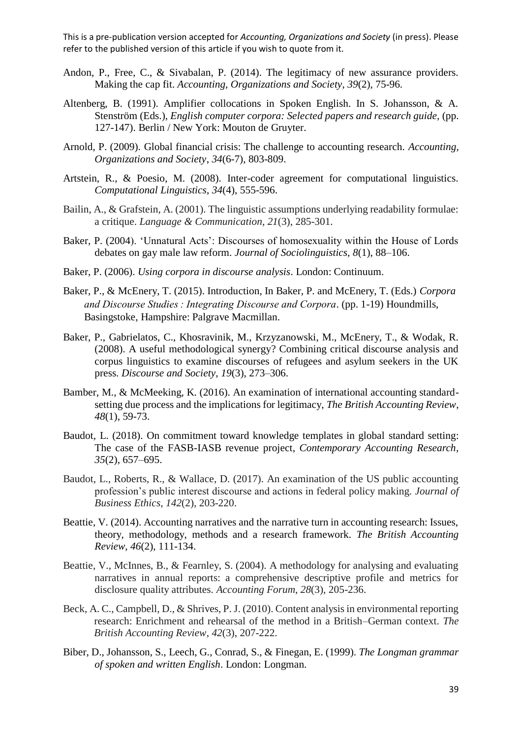- Andon, P., Free, C., & Sivabalan, P. (2014). The legitimacy of new assurance providers. Making the cap fit. *Accounting, Organizations and Society*, *39*(2), 75-96.
- Altenberg, B. (1991). Amplifier collocations in Spoken English. In S. Johansson, & A. Stenström (Eds.), *English computer corpora: Selected papers and research guide,* (pp. 127-147). Berlin / New York: Mouton de Gruyter.
- Arnold, P. (2009). Global financial crisis: The challenge to accounting research. *Accounting, Organizations and Society*, *34*(6-7), 803-809.
- Artstein, R., & Poesio, M. (2008). Inter-coder agreement for computational linguistics. *Computational Linguistics*, *34*(4), 555-596.
- Bailin, A., & Grafstein, A. (2001). The linguistic assumptions underlying readability formulae: a critique. *Language & Communication*, *21*(3), 285-301.
- Baker, P. (2004). 'Unnatural Acts': Discourses of homosexuality within the House of Lords debates on gay male law reform. *Journal of Sociolinguistics, 8*(1), 88–106.
- Baker, P. (2006). *Using corpora in discourse analysis*. London: Continuum.
- Baker, P., & McEnery, T. (2015). Introduction, In Baker, P. and McEnery, T. (Eds.) *Corpora and Discourse Studies : Integrating Discourse and Corpora*. (pp. 1-19) Houndmills, Basingstoke, Hampshire: Palgrave Macmillan.
- Baker, P., Gabrielatos, C., Khosravinik, M., Krzyzanowski, M., McEnery, T., & Wodak, R. (2008). A useful methodological synergy? Combining critical discourse analysis and corpus linguistics to examine discourses of refugees and asylum seekers in the UK press. *Discourse and Society, 19*(3), 273–306.
- Bamber, M., & McMeeking, K. (2016). An examination of international accounting standardsetting due process and the implications for legitimacy, *The British Accounting Review*, *48*(1), 59-73.
- Baudot, L. (2018). On commitment toward knowledge templates in global standard setting: The case of the FASB-IASB revenue project, *Contemporary Accounting Research*, *35*(2), 657–695.
- Baudot, L., Roberts, R., & Wallace, D. (2017). An examination of the US public accounting profession's public interest discourse and actions in federal policy making. *Journal of Business Ethics*, *142*(2), 203-220.
- Beattie, V. (2014). Accounting narratives and the narrative turn in accounting research: Issues, theory, methodology, methods and a research framework. *The British Accounting Review*, *46*(2), 111-134.
- Beattie, V., McInnes, B., & Fearnley, S. (2004). A methodology for analysing and evaluating narratives in annual reports: a comprehensive descriptive profile and metrics for disclosure quality attributes. *Accounting Forum*, *28*(3), 205-236.
- Beck, A. C., Campbell, D., & Shrives, P. J. (2010). Content analysis in environmental reporting research: Enrichment and rehearsal of the method in a British–German context. *The British Accounting Review*, *42*(3), 207-222.
- Biber, D., Johansson, S., Leech, G., Conrad, S., & Finegan, E. (1999). *The Longman grammar of spoken and written English*. London: Longman.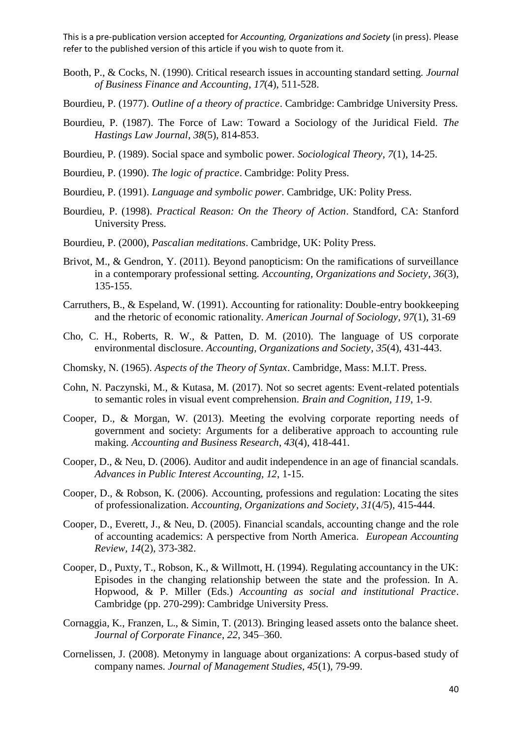- Booth, P., & Cocks, N. (1990). Critical research issues in accounting standard setting. *Journal of Business Finance and Accounting*, *17*(4), 511-528.
- Bourdieu, P. (1977). *Outline of a theory of practice*. Cambridge: Cambridge University Press.
- Bourdieu, P. (1987). The Force of Law: Toward a Sociology of the Juridical Field. *The Hastings Law Journal*, *38*(5), 814-853.
- Bourdieu, P. (1989). Social space and symbolic power. *Sociological Theory*, *7*(1), 14-25.
- Bourdieu, P. (1990). *The logic of practice*. Cambridge: Polity Press.
- Bourdieu, P. (1991). *Language and symbolic power*. Cambridge, UK: Polity Press.
- Bourdieu, P. (1998). *Practical Reason: On the Theory of Action*. Standford, CA: Stanford University Press.
- Bourdieu, P. (2000), *Pascalian meditations*. Cambridge, UK: Polity Press.
- Brivot, M., & Gendron, Y. (2011). Beyond panopticism: On the ramifications of surveillance in a contemporary professional setting. *Accounting, Organizations and Society*, *36*(3), 135-155.
- Carruthers, B., & Espeland, W. (1991). Accounting for rationality: Double-entry bookkeeping and the rhetoric of economic rationality. *American Journal of Sociology, 97*(1), 31-69
- Cho, C. H., Roberts, R. W., & Patten, D. M. (2010). The language of US corporate environmental disclosure. *Accounting, Organizations and Society*, *35*(4), 431-443.
- Chomsky, N. (1965). *Aspects of the Theory of Syntax*. Cambridge, Mass: M.I.T. Press.
- Cohn, N. Paczynski, M., & Kutasa, M. (2017). Not so secret agents: Event-related potentials to semantic roles in visual event comprehension. *Brain and Cognition, 119*, 1-9.
- Cooper, D., & Morgan, W. (2013). Meeting the evolving corporate reporting needs of government and society: Arguments for a deliberative approach to accounting rule making. *Accounting and Business Research*, *43*(4), 418-441.
- Cooper, D., & Neu, D. (2006). Auditor and audit independence in an age of financial scandals. *Advances in Public Interest Accounting, 12*, 1-15.
- Cooper, D., & Robson, K. (2006). Accounting, professions and regulation: Locating the sites of professionalization. *Accounting, Organizations and Society*, *31*(4/5), 415-444.
- Cooper, D., Everett, J., & Neu, D. (2005). Financial scandals, accounting change and the role of accounting academics: A perspective from North America. *European Accounting Review, 14*(2), 373-382.
- Cooper, D., Puxty, T., Robson, K., & Willmott, H. (1994). Regulating accountancy in the UK: Episodes in the changing relationship between the state and the profession. In A. Hopwood, & P. Miller (Eds.) *Accounting as social and institutional Practice*. Cambridge (pp. 270-299): Cambridge University Press.
- Cornaggia, K., Franzen, L., & Simin, T. (2013). Bringing leased assets onto the balance sheet. *Journal of Corporate Finance*, *22*, 345–360.
- Cornelissen, J. (2008). Metonymy in language about organizations: A corpus-based study of company names. *Journal of Management Studies, 45*(1), 79-99.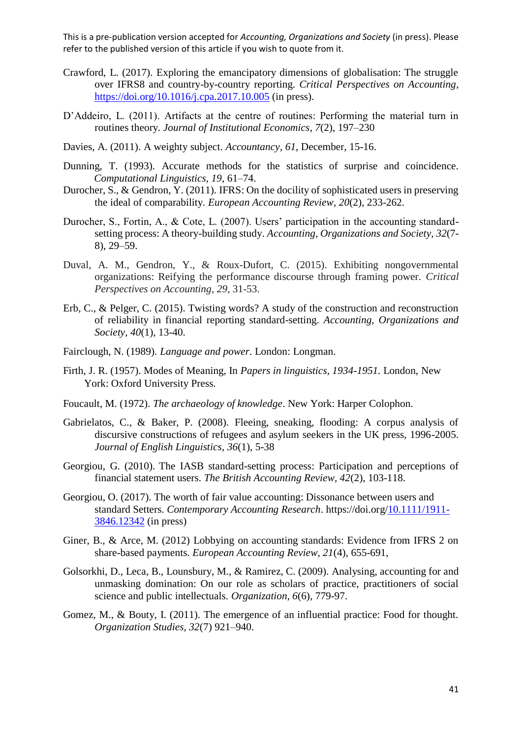- Crawford, L. (2017). Exploring the emancipatory dimensions of globalisation: The struggle over IFRS8 and country-by-country reporting. *Critical Perspectives on Accounting*, <https://doi.org/10.1016/j.cpa.2017.10.005> (in press).
- D'Addeiro, L. (2011). Artifacts at the centre of routines: Performing the material turn in routines theory. *Journal of Institutional Economics*, *7*(2), 197–230
- Davies, A. (2011). A weighty subject. *Accountancy*, *61*, December, 15-16.
- Dunning, T. (1993). Accurate methods for the statistics of surprise and coincidence. *Computational Linguistics, 19*, 61–74.
- Durocher, S., & Gendron, Y. (2011). IFRS: On the docility of sophisticated users in preserving the ideal of comparability. *European Accounting Review*, *20*(2), 233-262.
- Durocher, S., Fortin, A., & Cote, L. (2007). Users' participation in the accounting standardsetting process: A theory-building study. *Accounting, Organizations and Society, 32*(7- 8), 29–59.
- Duval, A. M., Gendron, Y., & Roux-Dufort, C. (2015). Exhibiting nongovernmental organizations: Reifying the performance discourse through framing power. *Critical Perspectives on Accounting*, *29*, 31-53.
- Erb, C., & Pelger, C. (2015). Twisting words? A study of the construction and reconstruction of reliability in financial reporting standard-setting. *Accounting, Organizations and Society*, *40*(1), 13-40.
- Fairclough, N. (1989). *Language and power*. London: Longman.
- Firth, J. R. (1957). Modes of Meaning, In *Papers in linguistics, 1934-1951.* London, New York: Oxford University Press.
- Foucault, M. (1972). *The archaeology of knowledge*. New York: Harper Colophon.
- Gabrielatos, C., & Baker, P. (2008). Fleeing, sneaking, flooding: A corpus analysis of discursive constructions of refugees and asylum seekers in the UK press, 1996-2005. *Journal of English Linguistics*, *36*(1), 5-38
- Georgiou, G. (2010). The IASB standard-setting process: Participation and perceptions of financial statement users. *The British Accounting Review, 42*(2), 103-118.
- Georgiou, O. (2017). The worth of fair value accounting: Dissonance between users and standard Setters. *Contemporary Accounting Research*. https://doi.org[/10.1111/1911-](https://doi.org/10.1111/1911-3846.12342) [3846.12342](https://doi.org/10.1111/1911-3846.12342) (in press)
- Giner, B., & Arce, M. (2012) Lobbying on accounting standards: Evidence from IFRS 2 on share-based payments. *European Accounting Review, 21*(4), 655-691,
- Golsorkhi, D., Leca, B., Lounsbury, M., & Ramirez, C. (2009). Analysing, accounting for and unmasking domination: On our role as scholars of practice, practitioners of social science and public intellectuals. *Organization*, *6*(6), 779-97.
- Gomez, M., & Bouty, I. (2011). The emergence of an influential practice: Food for thought. *Organization Studies, 32*(7) 921–940.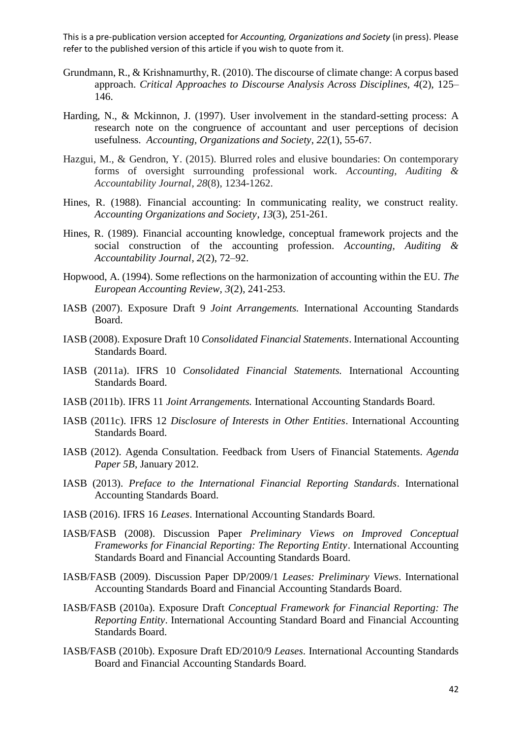- Grundmann, R., & Krishnamurthy, R. (2010). The discourse of climate change: A corpus based approach. *Critical Approaches to Discourse Analysis Across Disciplines, 4*(2), 125– 146.
- Harding, N., & Mckinnon, J. (1997). User involvement in the standard-setting process: A research note on the congruence of accountant and user perceptions of decision usefulness. *Accounting, Organizations and Society*, *22*(1), 55-67.
- Hazgui, M., & Gendron, Y. (2015). Blurred roles and elusive boundaries: On contemporary forms of oversight surrounding professional work. *Accounting, Auditing & Accountability Journal*, *28*(8), 1234-1262.
- Hines, R. (1988). Financial accounting: In communicating reality, we construct reality. *Accounting Organizations and Society*, *13*(3), 251-261.
- Hines, R. (1989). Financial accounting knowledge, conceptual framework projects and the social construction of the accounting profession. *Accounting, Auditing & Accountability Journal*, *2*(2), 72–92.
- Hopwood, A. (1994). Some reflections on the harmonization of accounting within the EU. *The European Accounting Review, 3*(2), 241-253.
- IASB (2007). Exposure Draft 9 *Joint Arrangements.* International Accounting Standards Board.
- IASB (2008). Exposure Draft 10 *Consolidated Financial Statements*. International Accounting Standards Board.
- IASB (2011a). IFRS 10 *Consolidated Financial Statements.* International Accounting Standards Board.
- IASB (2011b). IFRS 11 *Joint Arrangements.* International Accounting Standards Board.
- IASB (2011c). IFRS 12 *Disclosure of Interests in Other Entities*. International Accounting Standards Board.
- IASB (2012). Agenda Consultation. Feedback from Users of Financial Statements. *Agenda Paper 5B*, January 2012.
- IASB (2013). *Preface to the International Financial Reporting Standards*. International Accounting Standards Board.
- IASB (2016). IFRS 16 *Leases*. International Accounting Standards Board.
- IASB/FASB (2008). Discussion Paper *Preliminary Views on Improved Conceptual Frameworks for Financial Reporting: The Reporting Entity*. International Accounting Standards Board and Financial Accounting Standards Board.
- IASB/FASB (2009). Discussion Paper DP/2009/1 *Leases: Preliminary Views*. International Accounting Standards Board and Financial Accounting Standards Board.
- IASB/FASB (2010a). Exposure Draft *Conceptual Framework for Financial Reporting: The Reporting Entity*. International Accounting Standard Board and Financial Accounting Standards Board.
- IASB/FASB (2010b). Exposure Draft ED/2010/9 *Leases*. International Accounting Standards Board and Financial Accounting Standards Board.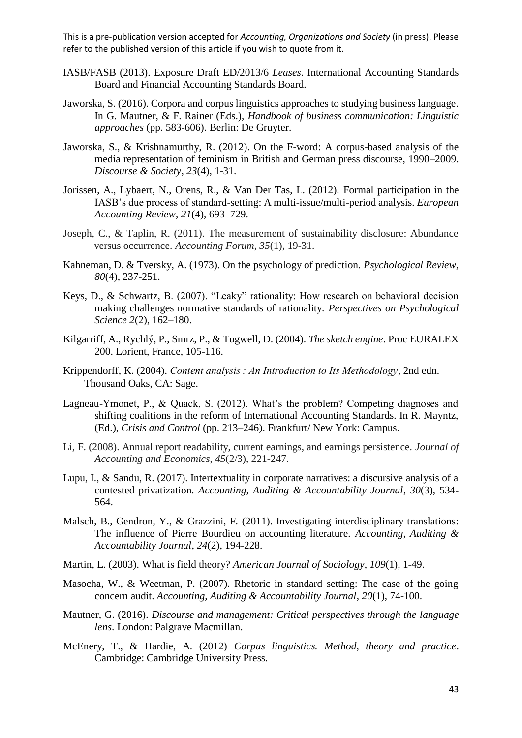- IASB/FASB (2013). Exposure Draft ED/2013/6 *Leases*. International Accounting Standards Board and Financial Accounting Standards Board.
- [Jaworska, S.](http://centaur.reading.ac.uk/view/creators/90005488.html) (2016). [Corpora and corpus linguistics approaches to studying business language.](http://centaur.reading.ac.uk/38690/) In G. Mautner, & F. Rainer (Eds.), *Handbook of business communication: Linguistic approaches* (pp. 583-606). Berlin: De Gruyter.
- Jaworska, S., & Krishnamurthy, R. (2012). On the F-word: A corpus-based analysis of the media representation of feminism in British and German press discourse, 1990–2009. *Discourse & Society*, *23*(4), 1-31.
- Jorissen, A., Lybaert, N., Orens, R., & Van Der Tas, L. (2012). Formal participation in the IASB's due process of standard-setting: A multi-issue/multi-period analysis. *European Accounting Review*, *21*(4), 693–729.
- Joseph, C., & Taplin, R. (2011). The measurement of sustainability disclosure: Abundance versus occurrence. *Accounting Forum, 35*(1), 19-31.
- Kahneman, D. & Tversky, A. (1973). On the psychology of prediction. *Psychological Review, 80*(4), 237-251.
- Keys, D., & Schwartz, B. (2007). "Leaky" rationality: How research on behavioral decision making challenges normative standards of rationality. *Perspectives on Psychological Science 2*(2), 162–180.
- Kilgarriff, A., Rychlý, P., Smrz, P., & Tugwell, D. (2004). *The sketch engine*. Proc EURALEX 200. Lorient, France, 105-116.
- Krippendorff, K. (2004). *Content analysis : An Introduction to Its Methodology*, 2nd edn. Thousand Oaks, CA: Sage.
- Lagneau-Ymonet, P., & Quack, S. (2012). What's the problem? Competing diagnoses and shifting coalitions in the reform of International Accounting Standards. In R. Mayntz, (Ed.), *Crisis and Control* (pp. 213–246). Frankfurt/ New York: Campus.
- Li, F. (2008). Annual report readability, current earnings, and earnings persistence. *Journal of Accounting and Economics*, *45*(2/3), 221-247.
- Lupu, I., & Sandu, R. (2017). Intertextuality in corporate narratives: a discursive analysis of a contested privatization. *Accounting, Auditing & Accountability Journal*, *30*(3), 534- 564.
- Malsch, B., Gendron, Y., & Grazzini, F. (2011). Investigating interdisciplinary translations: The influence of Pierre Bourdieu on accounting literature. *Accounting, Auditing & Accountability Journal*, *24*(2), 194-228.
- Martin, L. (2003). What is field theory? *American Journal of Sociology*, *109*(1), 1-49.
- Masocha, W., & Weetman, P. (2007). Rhetoric in standard setting: The case of the going concern audit. *Accounting, Auditing & Accountability Journal*, *20*(1), 74-100.
- Mautner, G. (2016). *Discourse and management: Critical perspectives through the language lens*. London: Palgrave Macmillan.
- McEnery, T., & Hardie, A. (2012) *Corpus linguistics. Method, theory and practice*. Cambridge: Cambridge University Press.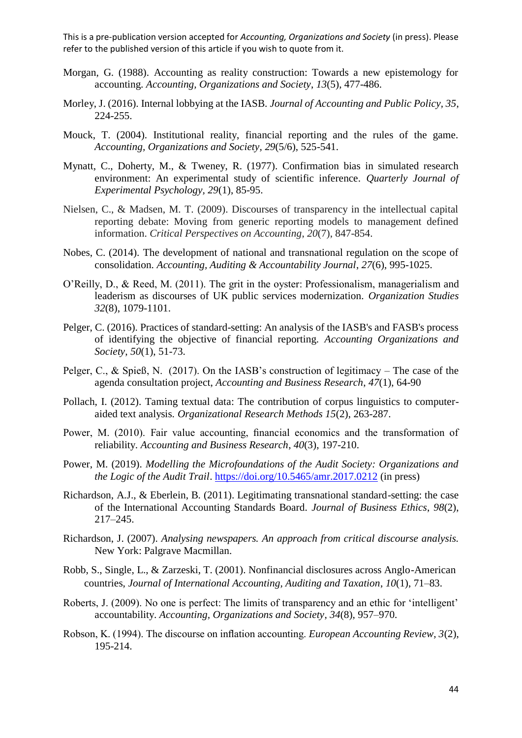- Morgan, G. (1988). Accounting as reality construction: Towards a new epistemology for accounting. *Accounting, Organizations and Society*, *13*(5), 477-486.
- Morley, J. (2016). Internal lobbying at the IASB. *Journal of Accounting and Public Policy, 35*, 224-255.
- Mouck, T. (2004). Institutional reality, financial reporting and the rules of the game. *Accounting, Organizations and Society, 29*(5/6), 525-541.
- Mynatt, C., Doherty, M., & Tweney, R. (1977). Confirmation bias in simulated research environment: An experimental study of scientific inference. *Quarterly Journal of Experimental Psychology, 29*(1), 85-95.
- Nielsen, C., & Madsen, M. T. (2009). Discourses of transparency in the intellectual capital reporting debate: Moving from generic reporting models to management defined information. *Critical Perspectives on Accounting*, *20*(7), 847-854.
- Nobes, C. (2014). The development of national and transnational regulation on the scope of consolidation. *Accounting, Auditing & Accountability Journal*, *27*(6), 995-1025.
- O'Reilly, D., & Reed, M. (2011). The grit in the oyster: Professionalism, managerialism and leaderism as discourses of UK public services modernization. *Organization Studies 32*(8), 1079-1101.
- Pelger, C. (2016). Practices of standard-setting: An analysis of the IASB's and FASB's process of identifying the objective of financial reporting. *Accounting Organizations and Society*, *50*(1), 51-73.
- Pelger, C., & Spieß, N. (2017). On the IASB's construction of legitimacy The case of the agenda consultation project, *Accounting and Business Research*, *47*(1), 64-90
- Pollach, I. (2012). Taming textual data: The contribution of corpus linguistics to computeraided text analysis. *Organizational Research Methods 15*(2), 263-287.
- Power, M. (2010). Fair value accounting, financial economics and the transformation of reliability. *Accounting and Business Research*, *40*(3), 197-210.
- Power, M. (2019). *Modelling the Microfoundations of the Audit Society: Organizations and the Logic of the Audit Trail*.<https://doi.org/10.5465/amr.2017.0212> (in press)
- Richardson, A.J., & Eberlein, B. (2011). Legitimating transnational standard-setting: the case of the International Accounting Standards Board. *Journal of Business Ethics*, *98*(2), 217–245.
- Richardson, J. (2007). *Analysing newspapers. An approach from critical discourse analysis.*  New York: Palgrave Macmillan.
- Robb, S., Single, L., & Zarzeski, T. (2001). Nonfinancial disclosures across Anglo-American countries, *Journal of International Accounting, Auditing and Taxation*, *10*(1), 71–83.
- Roberts, J. (2009). No one is perfect: The limits of transparency and an ethic for 'intelligent' accountability. *Accounting, Organizations and Society*, *34*(8), 957–970.
- Robson, K. (1994). The discourse on inflation accounting. *European Accounting Review, 3*(2), 195-214.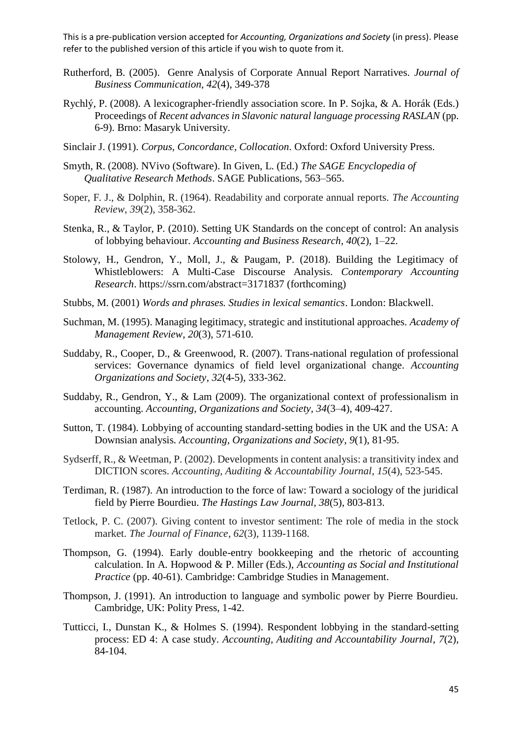- Rutherford, B. (2005). Genre Analysis of Corporate Annual Report Narratives. *Journal of Business Communication, 42*(4), 349-378
- Rychlý, P. (2008). A lexicographer-friendly association score. In P. Sojka, & A. Horák (Eds.) Proceedings of *Recent advances in Slavonic natural language processing RASLAN* (pp. 6-9). Brno: Masaryk University.
- Sinclair J. (1991). *Corpus, Concordance, Collocation*. Oxford: Oxford University Press.
- Smyth, R. (2008). NVivo (Software). In Given, L. (Ed.) *The SAGE Encyclopedia of Qualitative Research Methods*. SAGE Publications, 563–565.
- Soper, F. J., & Dolphin, R. (1964). Readability and corporate annual reports. *The Accounting Review*, *39*(2), 358-362.
- Stenka, R., & Taylor, P. (2010). Setting UK Standards on the concept of control: An analysis of lobbying behaviour. *Accounting and Business Research*, *40*(2), 1–22.
- Stolowy, H., Gendron, Y., Moll, J., & Paugam, P. (2018). Building the Legitimacy of Whistleblowers: A Multi-Case Discourse Analysis. *Contemporary Accounting Research*.<https://ssrn.com/abstract=3171837> (forthcoming)
- Stubbs, M. (2001) *Words and phrases. Studies in lexical semantics*. London: Blackwell.
- Suchman, M. (1995). Managing legitimacy, strategic and institutional approaches. *Academy of Management Review*, *20*(3), 571-610.
- Suddaby, R., Cooper, D., & Greenwood, R. (2007). Trans-national regulation of professional services: Governance dynamics of field level organizational change. *Accounting Organizations and Society*, *32*(4-5), 333-362.
- Suddaby, R., Gendron, Y., & Lam (2009). The organizational context of professionalism in accounting. *Accounting, Organizations and Society, 34*(3–4), 409-427.
- Sutton, T. (1984). Lobbying of accounting standard-setting bodies in the UK and the USA: A Downsian analysis. *Accounting, Organizations and Society*, *9*(1), 81-95.
- Sydserff, R., & Weetman, P. (2002). Developments in content analysis: a transitivity index and DICTION scores. *Accounting, Auditing & Accountability Journal*, *15*(4), 523-545.
- Terdiman, R. (1987). An introduction to the force of law: Toward a sociology of the juridical field by Pierre Bourdieu. *The Hastings Law Journal, 38*(5), 803-813.
- Tetlock, P. C. (2007). Giving content to investor sentiment: The role of media in the stock market. *The Journal of Finance*, *62*(3), 1139-1168.
- Thompson, G. (1994). Early double-entry bookkeeping and the rhetoric of accounting calculation. In A. Hopwood & P. Miller (Eds.), *Accounting as Social and Institutional Practice* (pp. 40-61). Cambridge: Cambridge Studies in Management.
- Thompson, J. (1991). An introduction to language and symbolic power by Pierre Bourdieu. Cambridge, UK: Polity Press, 1-42.
- Tutticci, I., Dunstan K., & Holmes S. (1994). Respondent lobbying in the standard-setting process: ED 4: A case study. *Accounting, Auditing and Accountability Journal*, *7*(2), 84-104.